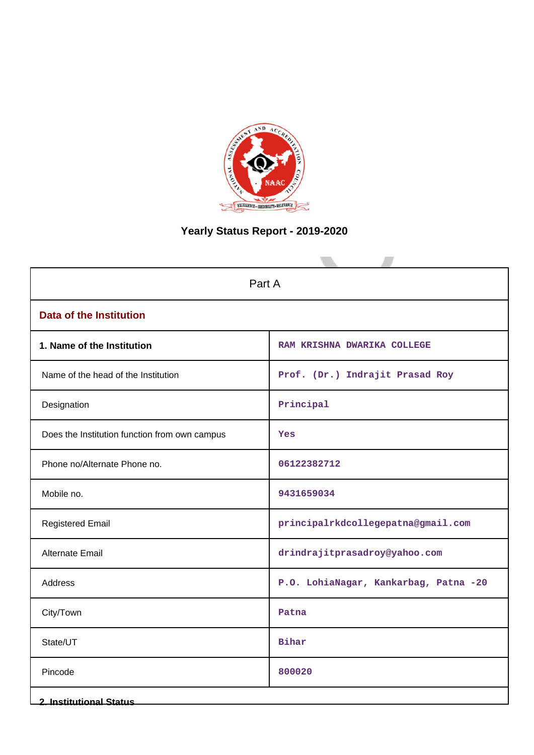

# **Yearly Status Report - 2019-2020**

| Part A                                        |                                       |  |  |  |
|-----------------------------------------------|---------------------------------------|--|--|--|
| <b>Data of the Institution</b>                |                                       |  |  |  |
| 1. Name of the Institution                    | RAM KRISHNA DWARIKA COLLEGE           |  |  |  |
| Name of the head of the Institution           | Prof. (Dr.) Indrajit Prasad Roy       |  |  |  |
| Designation                                   | Principal                             |  |  |  |
| Does the Institution function from own campus | Yes                                   |  |  |  |
| Phone no/Alternate Phone no.                  | 06122382712                           |  |  |  |
| Mobile no.                                    | 9431659034                            |  |  |  |
| <b>Registered Email</b>                       | principalrkdcollegepatna@gmail.com    |  |  |  |
| Alternate Email                               | drindrajitprasadroy@yahoo.com         |  |  |  |
| Address                                       | P.O. LohiaNagar, Kankarbag, Patna -20 |  |  |  |
| City/Town                                     | Patna                                 |  |  |  |
| State/UT                                      | <b>Bihar</b>                          |  |  |  |
| Pincode                                       | 800020                                |  |  |  |
| <b>2. Institutional Status</b>                |                                       |  |  |  |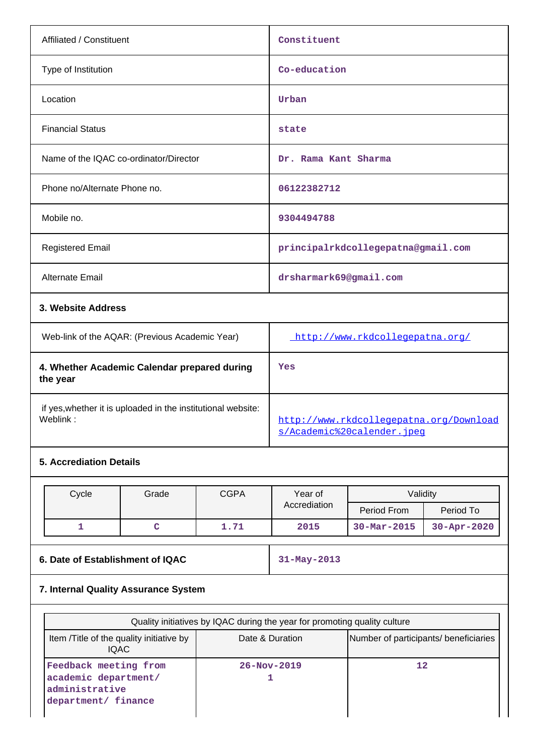| Affiliated / Constituent                                 | Constituent                        |
|----------------------------------------------------------|------------------------------------|
| Type of Institution                                      | Co-education                       |
| Location                                                 | Urban                              |
| <b>Financial Status</b>                                  | state                              |
| Name of the IQAC co-ordinator/Director                   | Dr. Rama Kant Sharma               |
| Phone no/Alternate Phone no.                             | 06122382712                        |
| Mobile no.                                               | 9304494788                         |
| <b>Registered Email</b>                                  | principalrkdcollegepatna@gmail.com |
| <b>Alternate Email</b>                                   | drsharmark69@gmail.com             |
| 3. Website Address                                       |                                    |
| Web-link of the AQAR: (Previous Academic Year)           | http://www.rkdcollegepatna.org/    |
| 4. Whether Academic Calendar prepared during<br>the year | Yes                                |

if yes,whether it is uploaded in the institutional website:

# **5. Accrediation Details**

| Cycle | Grade | <b>CGPA</b> | Year of      | Validitv                 |                   |
|-------|-------|-------------|--------------|--------------------------|-------------------|
|       |       |             | Accrediation | Period From              | Period To         |
|       |       | 1.71        | 2015         | $30 - \text{Mar} - 2015$ | $30 - Apr - 2020$ |

# **6. Date of Establishment of IQAC** 31-May-2013

[http://www.rkdcollegepatna.org/Download](http://www.rkdcollegepatna.org/Downloads/Academic%20calender.jpeg)

[s/Academic%20calender.jpeg](http://www.rkdcollegepatna.org/Downloads/Academic%20calender.jpeg)

# **7. Internal Quality Assurance System**

| Quality initiatives by IQAC during the year for promoting quality culture                                            |                   |    |  |  |  |  |
|----------------------------------------------------------------------------------------------------------------------|-------------------|----|--|--|--|--|
| Item / Title of the quality initiative by<br>Date & Duration<br>Number of participants/ beneficiaries<br><b>IQAC</b> |                   |    |  |  |  |  |
| Feedback meeting from<br>academic department/<br>administrative<br>department/ finance                               | $26 - Nov - 2019$ | 12 |  |  |  |  |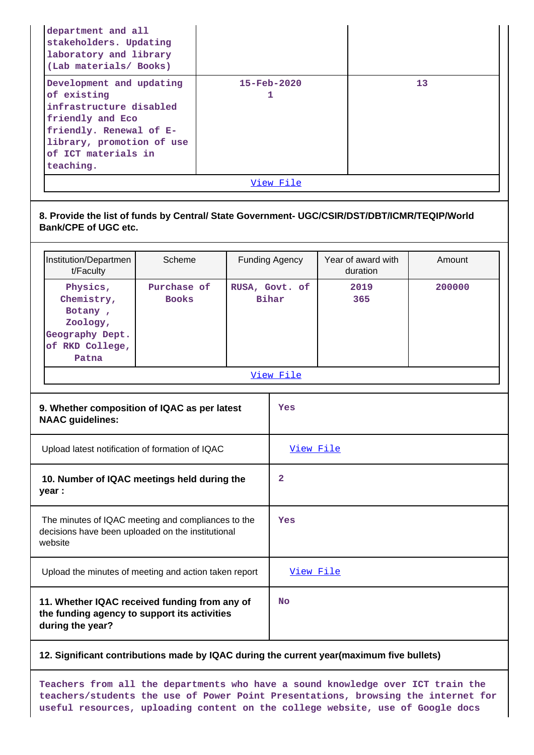| department and all<br>stakeholders. Updating<br>laboratory and library<br>(Lab materials/ Books)                            |                                                                                                             |                         |                |                               |                                |  |        |
|-----------------------------------------------------------------------------------------------------------------------------|-------------------------------------------------------------------------------------------------------------|-------------------------|----------------|-------------------------------|--------------------------------|--|--------|
| of existing<br>friendly and Eco<br>of ICT materials in<br>teaching.                                                         | Development and updating<br>infrastructure disabled<br>friendly. Renewal of E-<br>library, promotion of use |                         |                | $15 - \text{Feb} - 2020$<br>1 |                                |  | 13     |
|                                                                                                                             |                                                                                                             |                         |                | View File                     |                                |  |        |
| 8. Provide the list of funds by Central/ State Government- UGC/CSIR/DST/DBT/ICMR/TEQIP/World<br><b>Bank/CPE of UGC etc.</b> |                                                                                                             |                         |                |                               |                                |  |        |
| Institution/Departmen<br>t/Faculty                                                                                          | Scheme                                                                                                      |                         | Funding Agency |                               | Year of award with<br>duration |  | Amount |
| Physics,<br>Chemistry,<br>Botany,<br>Zoology,<br>Geography Dept.<br>of RKD College,<br>Patna                                | Purchase of<br><b>Books</b>                                                                                 | RUSA, Govt. of<br>Bihar |                |                               | 2019<br>365                    |  | 200000 |
|                                                                                                                             |                                                                                                             |                         |                | View File                     |                                |  |        |
| 9. Whether composition of IQAC as per latest<br><b>NAAC guidelines:</b>                                                     |                                                                                                             |                         |                | Yes                           |                                |  |        |
| Upload latest notification of formation of IQAC                                                                             |                                                                                                             |                         |                | View File                     |                                |  |        |
| 10. Number of IQAC meetings held during the<br>year :                                                                       |                                                                                                             |                         |                | 2                             |                                |  |        |
|                                                                                                                             |                                                                                                             |                         |                |                               |                                |  |        |

**12. Significant contributions made by IQAC during the current year(maximum five bullets)**

 The minutes of IQAC meeting and compliances to the decisions have been uploaded on the institutional

**11. Whether IQAC received funding from any of the funding agency to support its activities**

Upload the minutes of meeting and action taken report [View File](https://assessmentonline.naac.gov.in/public/Postacc/Meeting_minutes/18004_Minutes.pdf)

website

**during the year?**

**Teachers from all the departments who have a sound knowledge over ICT train the teachers/students the use of Power Point Presentations, browsing the internet for useful resources, uploading content on the college website, use of Google docs**

**Yes**

**No**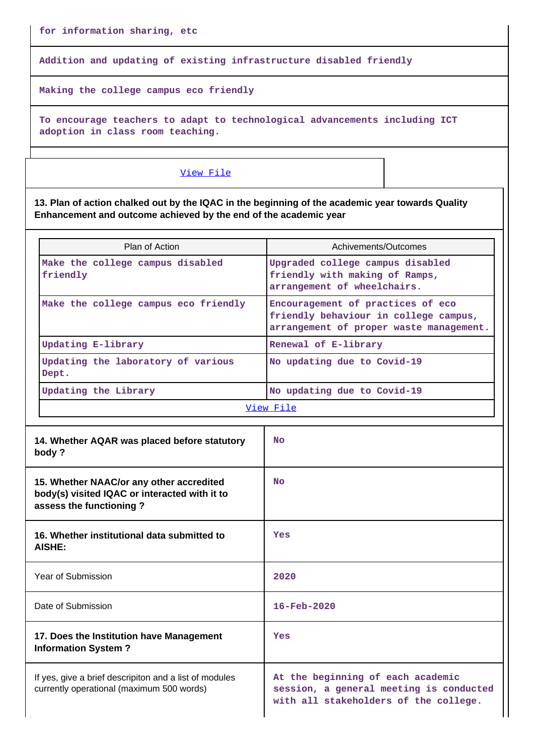**for information sharing, etc**

**Addition and updating of existing infrastructure disabled friendly**

**Making the college campus eco friendly**

**To encourage teachers to adapt to technological advancements including ICT adoption in class room teaching.**

## [View File](https://assessmentonline.naac.gov.in/public/Postacc/Contribution/18004_Contribution.xlsx)

**13. Plan of action chalked out by the IQAC in the beginning of the academic year towards Quality Enhancement and outcome achieved by the end of the academic year**

| Plan of Action                                                                                                       | Achivements/Outcomes                                                                                                  |  |
|----------------------------------------------------------------------------------------------------------------------|-----------------------------------------------------------------------------------------------------------------------|--|
| Make the college campus disabled<br>friendly                                                                         | Upgraded college campus disabled<br>friendly with making of Ramps,<br>arrangement of wheelchairs.                     |  |
| Make the college campus eco friendly                                                                                 | Encouragement of practices of eco<br>friendly behaviour in college campus,<br>arrangement of proper waste management. |  |
| <b>Updating E-library</b>                                                                                            | Renewal of E-library                                                                                                  |  |
| Updating the laboratory of various<br>Dept.                                                                          | No updating due to Covid-19                                                                                           |  |
| Updating the Library                                                                                                 | No updating due to Covid-19                                                                                           |  |
|                                                                                                                      | View File                                                                                                             |  |
|                                                                                                                      |                                                                                                                       |  |
| 14. Whether AQAR was placed before statutory<br>body?                                                                | <b>No</b>                                                                                                             |  |
| 15. Whether NAAC/or any other accredited<br>body(s) visited IQAC or interacted with it to<br>assess the functioning? | <b>No</b>                                                                                                             |  |
| 16. Whether institutional data submitted to<br>AISHE:                                                                | Yes                                                                                                                   |  |
| Year of Submission                                                                                                   | 2020                                                                                                                  |  |
| Date of Submission                                                                                                   | $16 - \text{Feb} - 2020$                                                                                              |  |
| 17. Does the Institution have Management<br><b>Information System?</b>                                               | Yes                                                                                                                   |  |
| If yes, give a brief descripiton and a list of modules<br>currently operational (maximum 500 words)                  | At the beginning of each academic<br>session, a general meeting is conducted<br>with all stakeholders of the college. |  |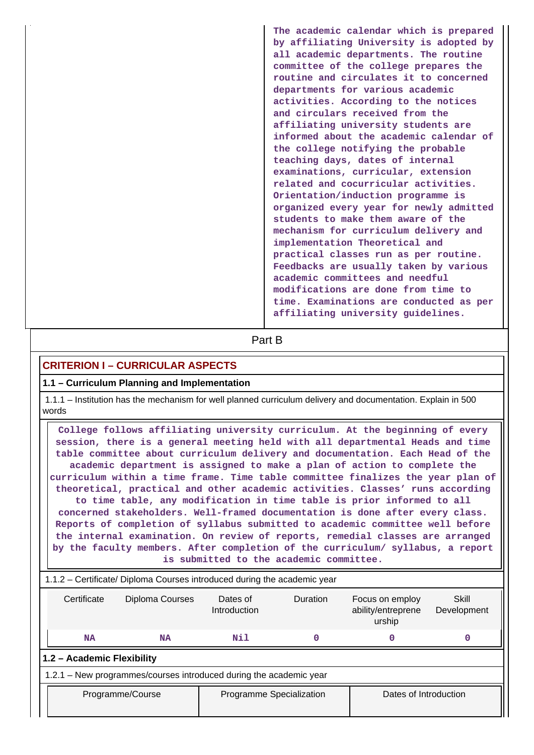| The academic calendar which is prepared<br>by affiliating University is adopted by<br>all academic departments. The routine<br>committee of the college prepares the<br>routine and circulates it to concerned<br>departments for various academic<br>activities. According to the notices<br>and circulars received from the<br>affiliating university students are<br>informed about the academic calendar of<br>the college notifying the probable<br>teaching days, dates of internal<br>examinations, curricular, extension |
|----------------------------------------------------------------------------------------------------------------------------------------------------------------------------------------------------------------------------------------------------------------------------------------------------------------------------------------------------------------------------------------------------------------------------------------------------------------------------------------------------------------------------------|
| Orientation/induction programme is<br>organized every year for newly admitted<br>students to make them aware of the                                                                                                                                                                                                                                                                                                                                                                                                              |
| mechanism for curriculum delivery and<br>implementation Theoretical and                                                                                                                                                                                                                                                                                                                                                                                                                                                          |
| practical classes run as per routine.<br>Feedbacks are usually taken by various<br>academic committees and needful<br>modifications are done from time to<br>time. Examinations are conducted as per<br>affiliating university guidelines.                                                                                                                                                                                                                                                                                       |
|                                                                                                                                                                                                                                                                                                                                                                                                                                                                                                                                  |

**Part B** 

# **CRITERION I – CURRICULAR ASPECTS**

## **1.1 – Curriculum Planning and Implementation**

 1.1.1 – Institution has the mechanism for well planned curriculum delivery and documentation. Explain in 500 words

 **College follows affiliating university curriculum. At the beginning of every session, there is a general meeting held with all departmental Heads and time table committee about curriculum delivery and documentation. Each Head of the academic department is assigned to make a plan of action to complete the curriculum within a time frame. Time table committee finalizes the year plan of theoretical, practical and other academic activities. Classes' runs according to time table, any modification in time table is prior informed to all concerned stakeholders. Well-framed documentation is done after every class. Reports of completion of syllabus submitted to academic committee well before the internal examination. On review of reports, remedial classes are arranged by the faculty members. After completion of the curriculum/ syllabus, a report is submitted to the academic committee.**

|                                                                                                                                                   | 1.1.2 – Certificate/ Diploma Courses introduced during the academic year |  |  |  |  |   |  |  |
|---------------------------------------------------------------------------------------------------------------------------------------------------|--------------------------------------------------------------------------|--|--|--|--|---|--|--|
| Diploma Courses<br>Certificate<br>Duration<br>Skill<br>Dates of<br>Focus on employ<br>ability/entreprene<br>Introduction<br>Development<br>urship |                                                                          |  |  |  |  |   |  |  |
| Nil<br><b>NA</b><br>0<br>NA                                                                                                                       |                                                                          |  |  |  |  | 0 |  |  |
|                                                                                                                                                   | 1.2 - Academic Flexibility                                               |  |  |  |  |   |  |  |
|                                                                                                                                                   | 1.2.1 – New programmes/courses introduced during the academic year       |  |  |  |  |   |  |  |
|                                                                                                                                                   | Dates of Introduction<br>Programme Specialization<br>Programme/Course    |  |  |  |  |   |  |  |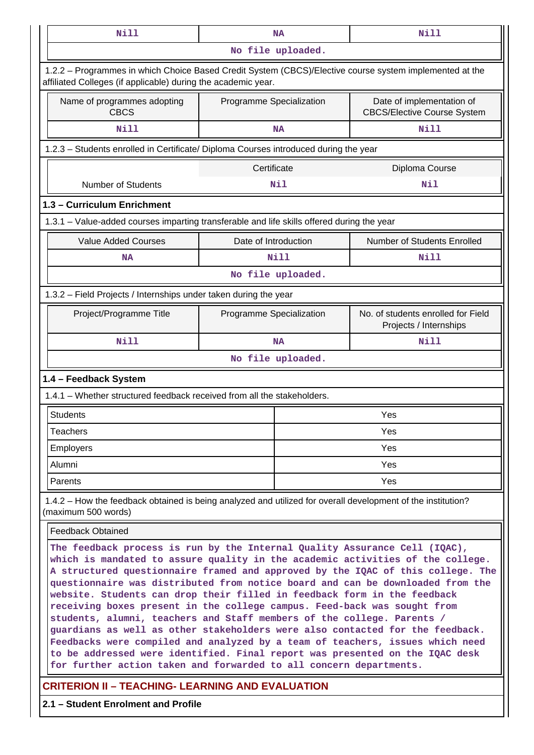| Nill                                                                                                                                                                                                                                                                                                                                                                                                                                                                                                                                                                                                                                                                                                                                                                                                                                                                                        |                                                                                          | <b>NA</b>         | Nill                                                            |  |  |  |
|---------------------------------------------------------------------------------------------------------------------------------------------------------------------------------------------------------------------------------------------------------------------------------------------------------------------------------------------------------------------------------------------------------------------------------------------------------------------------------------------------------------------------------------------------------------------------------------------------------------------------------------------------------------------------------------------------------------------------------------------------------------------------------------------------------------------------------------------------------------------------------------------|------------------------------------------------------------------------------------------|-------------------|-----------------------------------------------------------------|--|--|--|
|                                                                                                                                                                                                                                                                                                                                                                                                                                                                                                                                                                                                                                                                                                                                                                                                                                                                                             |                                                                                          | No file uploaded. |                                                                 |  |  |  |
| 1.2.2 - Programmes in which Choice Based Credit System (CBCS)/Elective course system implemented at the<br>affiliated Colleges (if applicable) during the academic year.                                                                                                                                                                                                                                                                                                                                                                                                                                                                                                                                                                                                                                                                                                                    |                                                                                          |                   |                                                                 |  |  |  |
| Name of programmes adopting<br><b>CBCS</b>                                                                                                                                                                                                                                                                                                                                                                                                                                                                                                                                                                                                                                                                                                                                                                                                                                                  | Programme Specialization                                                                 |                   | Date of implementation of<br><b>CBCS/Elective Course System</b> |  |  |  |
| Nill                                                                                                                                                                                                                                                                                                                                                                                                                                                                                                                                                                                                                                                                                                                                                                                                                                                                                        |                                                                                          | <b>NA</b>         | <b>Nill</b>                                                     |  |  |  |
| 1.2.3 – Students enrolled in Certificate/ Diploma Courses introduced during the year                                                                                                                                                                                                                                                                                                                                                                                                                                                                                                                                                                                                                                                                                                                                                                                                        |                                                                                          |                   |                                                                 |  |  |  |
|                                                                                                                                                                                                                                                                                                                                                                                                                                                                                                                                                                                                                                                                                                                                                                                                                                                                                             | Certificate                                                                              |                   | Diploma Course                                                  |  |  |  |
| Number of Students                                                                                                                                                                                                                                                                                                                                                                                                                                                                                                                                                                                                                                                                                                                                                                                                                                                                          |                                                                                          | Nil               | Nil                                                             |  |  |  |
| 1.3 - Curriculum Enrichment                                                                                                                                                                                                                                                                                                                                                                                                                                                                                                                                                                                                                                                                                                                                                                                                                                                                 |                                                                                          |                   |                                                                 |  |  |  |
| 1.3.1 – Value-added courses imparting transferable and life skills offered during the year                                                                                                                                                                                                                                                                                                                                                                                                                                                                                                                                                                                                                                                                                                                                                                                                  |                                                                                          |                   |                                                                 |  |  |  |
| <b>Value Added Courses</b>                                                                                                                                                                                                                                                                                                                                                                                                                                                                                                                                                                                                                                                                                                                                                                                                                                                                  | Date of Introduction                                                                     |                   | Number of Students Enrolled                                     |  |  |  |
| <b>NA</b>                                                                                                                                                                                                                                                                                                                                                                                                                                                                                                                                                                                                                                                                                                                                                                                                                                                                                   |                                                                                          | <b>Nill</b>       | Nill                                                            |  |  |  |
| No file uploaded.                                                                                                                                                                                                                                                                                                                                                                                                                                                                                                                                                                                                                                                                                                                                                                                                                                                                           |                                                                                          |                   |                                                                 |  |  |  |
| 1.3.2 - Field Projects / Internships under taken during the year                                                                                                                                                                                                                                                                                                                                                                                                                                                                                                                                                                                                                                                                                                                                                                                                                            |                                                                                          |                   |                                                                 |  |  |  |
| Project/Programme Title                                                                                                                                                                                                                                                                                                                                                                                                                                                                                                                                                                                                                                                                                                                                                                                                                                                                     | No. of students enrolled for Field<br>Programme Specialization<br>Projects / Internships |                   |                                                                 |  |  |  |
| <b>Nill</b>                                                                                                                                                                                                                                                                                                                                                                                                                                                                                                                                                                                                                                                                                                                                                                                                                                                                                 |                                                                                          | <b>NA</b>         | Nill                                                            |  |  |  |
| No file uploaded.                                                                                                                                                                                                                                                                                                                                                                                                                                                                                                                                                                                                                                                                                                                                                                                                                                                                           |                                                                                          |                   |                                                                 |  |  |  |
| 1.4 - Feedback System                                                                                                                                                                                                                                                                                                                                                                                                                                                                                                                                                                                                                                                                                                                                                                                                                                                                       |                                                                                          |                   |                                                                 |  |  |  |
| 1.4.1 - Whether structured feedback received from all the stakeholders.                                                                                                                                                                                                                                                                                                                                                                                                                                                                                                                                                                                                                                                                                                                                                                                                                     |                                                                                          |                   |                                                                 |  |  |  |
| <b>Students</b>                                                                                                                                                                                                                                                                                                                                                                                                                                                                                                                                                                                                                                                                                                                                                                                                                                                                             |                                                                                          |                   | Yes                                                             |  |  |  |
| <b>Teachers</b>                                                                                                                                                                                                                                                                                                                                                                                                                                                                                                                                                                                                                                                                                                                                                                                                                                                                             |                                                                                          |                   | Yes                                                             |  |  |  |
| <b>Employers</b>                                                                                                                                                                                                                                                                                                                                                                                                                                                                                                                                                                                                                                                                                                                                                                                                                                                                            |                                                                                          |                   | Yes                                                             |  |  |  |
| Alumni                                                                                                                                                                                                                                                                                                                                                                                                                                                                                                                                                                                                                                                                                                                                                                                                                                                                                      |                                                                                          |                   | Yes                                                             |  |  |  |
| Parents                                                                                                                                                                                                                                                                                                                                                                                                                                                                                                                                                                                                                                                                                                                                                                                                                                                                                     |                                                                                          |                   | Yes                                                             |  |  |  |
| 1.4.2 - How the feedback obtained is being analyzed and utilized for overall development of the institution?<br>(maximum 500 words)                                                                                                                                                                                                                                                                                                                                                                                                                                                                                                                                                                                                                                                                                                                                                         |                                                                                          |                   |                                                                 |  |  |  |
| <b>Feedback Obtained</b>                                                                                                                                                                                                                                                                                                                                                                                                                                                                                                                                                                                                                                                                                                                                                                                                                                                                    |                                                                                          |                   |                                                                 |  |  |  |
| The feedback process is run by the Internal Quality Assurance Cell (IQAC),<br>which is mandated to assure quality in the academic activities of the college.<br>A structured questionnaire framed and approved by the IQAC of this college. The<br>questionnaire was distributed from notice board and can be downloaded from the<br>website. Students can drop their filled in feedback form in the feedback<br>receiving boxes present in the college campus. Feed-back was sought from<br>students, alumni, teachers and Staff members of the college. Parents /<br>guardians as well as other stakeholders were also contacted for the feedback.<br>Feedbacks were compiled and analyzed by a team of teachers, issues which need<br>to be addressed were identified. Final report was presented on the IQAC desk<br>for further action taken and forwarded to all concern departments. |                                                                                          |                   |                                                                 |  |  |  |
| <b>CRITERION II - TEACHING- LEARNING AND EVALUATION</b>                                                                                                                                                                                                                                                                                                                                                                                                                                                                                                                                                                                                                                                                                                                                                                                                                                     |                                                                                          |                   |                                                                 |  |  |  |

**2.1 – Student Enrolment and Profile**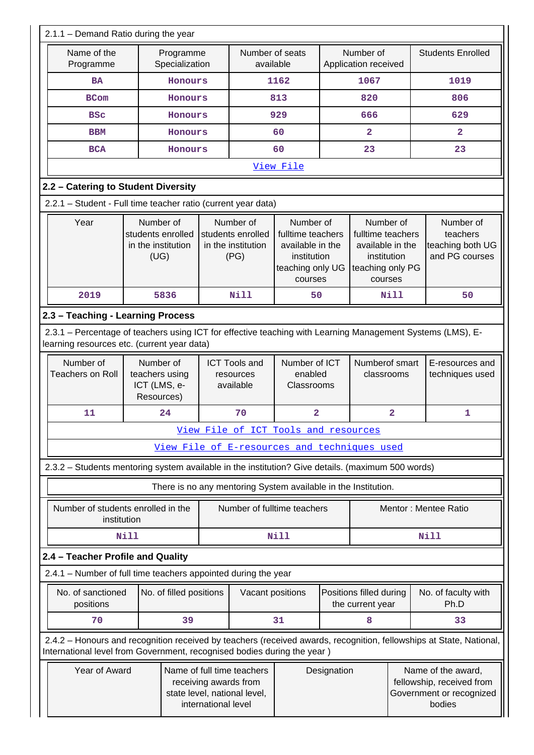| 2.1.1 - Demand Ratio during the year                                                              |                                                                                                                                                           |                             |                     |                                                                                                                                                                  |                                                                |             |                                                                                                                                                                 |                         |                                                                                                                     |
|---------------------------------------------------------------------------------------------------|-----------------------------------------------------------------------------------------------------------------------------------------------------------|-----------------------------|---------------------|------------------------------------------------------------------------------------------------------------------------------------------------------------------|----------------------------------------------------------------|-------------|-----------------------------------------------------------------------------------------------------------------------------------------------------------------|-------------------------|---------------------------------------------------------------------------------------------------------------------|
| Name of the<br>Programme                                                                          |                                                                                                                                                           | Programme<br>Specialization |                     | Number of seats<br>available                                                                                                                                     |                                                                |             | Number of<br>Application received                                                                                                                               |                         | <b>Students Enrolled</b>                                                                                            |
| <b>BA</b>                                                                                         |                                                                                                                                                           | Honours                     |                     |                                                                                                                                                                  | 1162                                                           |             | 1067                                                                                                                                                            |                         | 1019                                                                                                                |
| <b>BCom</b>                                                                                       |                                                                                                                                                           | Honours                     |                     | 813                                                                                                                                                              |                                                                |             | 820                                                                                                                                                             |                         | 806                                                                                                                 |
| <b>BSC</b>                                                                                        |                                                                                                                                                           | Honours                     |                     |                                                                                                                                                                  | 929                                                            |             | 666                                                                                                                                                             |                         | 629                                                                                                                 |
| <b>BBM</b>                                                                                        |                                                                                                                                                           | Honours                     |                     |                                                                                                                                                                  | 60                                                             |             | $\overline{\mathbf{2}}$                                                                                                                                         |                         | $\overline{\mathbf{2}}$                                                                                             |
| <b>BCA</b>                                                                                        |                                                                                                                                                           | Honours                     |                     |                                                                                                                                                                  | 60                                                             |             | 23                                                                                                                                                              |                         | 23                                                                                                                  |
| View File                                                                                         |                                                                                                                                                           |                             |                     |                                                                                                                                                                  |                                                                |             |                                                                                                                                                                 |                         |                                                                                                                     |
| 2.2 - Catering to Student Diversity                                                               |                                                                                                                                                           |                             |                     |                                                                                                                                                                  |                                                                |             |                                                                                                                                                                 |                         |                                                                                                                     |
| 2.2.1 - Student - Full time teacher ratio (current year data)                                     |                                                                                                                                                           |                             |                     |                                                                                                                                                                  |                                                                |             |                                                                                                                                                                 |                         |                                                                                                                     |
| Year                                                                                              | Number of<br>students enrolled<br>in the institution<br>(UG)                                                                                              |                             |                     | Number of<br>Number of<br>students enrolled<br>fulltime teachers<br>in the institution<br>available in the<br>(PG)<br>institution<br>teaching only UG<br>courses |                                                                |             | Number of<br>Number of<br>fulltime teachers<br>teachers<br>teaching both UG<br>available in the<br>and PG courses<br>institution<br>teaching only PG<br>courses |                         |                                                                                                                     |
| 2019                                                                                              |                                                                                                                                                           | 5836                        |                     | <b>Nill</b>                                                                                                                                                      | 50                                                             |             |                                                                                                                                                                 | Nill                    | 50                                                                                                                  |
| 2.3 - Teaching - Learning Process                                                                 |                                                                                                                                                           |                             |                     |                                                                                                                                                                  |                                                                |             |                                                                                                                                                                 |                         |                                                                                                                     |
|                                                                                                   | 2.3.1 – Percentage of teachers using ICT for effective teaching with Learning Management Systems (LMS), E-<br>learning resources etc. (current year data) |                             |                     |                                                                                                                                                                  |                                                                |             |                                                                                                                                                                 |                         |                                                                                                                     |
| Number of<br><b>Teachers on Roll</b>                                                              | teachers using<br>ICT (LMS, e-<br>Resources)                                                                                                              | Number of                   |                     | Number of ICT<br>Numberof smart<br><b>ICT Tools and</b><br>enabled<br>classrooms<br>resources<br>available<br>Classrooms                                         |                                                                |             | E-resources and<br>techniques used                                                                                                                              |                         |                                                                                                                     |
| 11                                                                                                |                                                                                                                                                           | 24                          |                     | 70                                                                                                                                                               | $\overline{\mathbf{2}}$                                        |             |                                                                                                                                                                 | $\overline{\mathbf{2}}$ | 1                                                                                                                   |
|                                                                                                   |                                                                                                                                                           |                             |                     |                                                                                                                                                                  | View File of ICT Tools and resources                           |             |                                                                                                                                                                 |                         |                                                                                                                     |
|                                                                                                   |                                                                                                                                                           |                             |                     |                                                                                                                                                                  | View File of E-resources and techniques used                   |             |                                                                                                                                                                 |                         |                                                                                                                     |
| 2.3.2 - Students mentoring system available in the institution? Give details. (maximum 500 words) |                                                                                                                                                           |                             |                     |                                                                                                                                                                  |                                                                |             |                                                                                                                                                                 |                         |                                                                                                                     |
|                                                                                                   |                                                                                                                                                           |                             |                     |                                                                                                                                                                  | There is no any mentoring System available in the Institution. |             |                                                                                                                                                                 |                         |                                                                                                                     |
| Number of students enrolled in the<br>institution                                                 |                                                                                                                                                           |                             |                     |                                                                                                                                                                  | Number of fulltime teachers                                    |             |                                                                                                                                                                 |                         | Mentor: Mentee Ratio                                                                                                |
|                                                                                                   | <b>Nill</b>                                                                                                                                               |                             |                     |                                                                                                                                                                  | Nill                                                           |             |                                                                                                                                                                 |                         | Nill                                                                                                                |
| 2.4 - Teacher Profile and Quality                                                                 |                                                                                                                                                           |                             |                     |                                                                                                                                                                  |                                                                |             |                                                                                                                                                                 |                         |                                                                                                                     |
| 2.4.1 - Number of full time teachers appointed during the year                                    |                                                                                                                                                           |                             |                     |                                                                                                                                                                  |                                                                |             |                                                                                                                                                                 |                         |                                                                                                                     |
| No. of sanctioned<br>positions                                                                    |                                                                                                                                                           | No. of filled positions     |                     | Vacant positions                                                                                                                                                 |                                                                |             | Positions filled during<br>the current year                                                                                                                     |                         | No. of faculty with<br>Ph.D                                                                                         |
| 70                                                                                                |                                                                                                                                                           | 39                          |                     |                                                                                                                                                                  | 31                                                             |             | 8                                                                                                                                                               |                         | 33                                                                                                                  |
| International level from Government, recognised bodies during the year)                           |                                                                                                                                                           |                             |                     |                                                                                                                                                                  |                                                                |             |                                                                                                                                                                 |                         | 2.4.2 - Honours and recognition received by teachers (received awards, recognition, fellowships at State, National, |
| Year of Award                                                                                     |                                                                                                                                                           |                             | international level | Name of full time teachers<br>receiving awards from<br>state level, national level,                                                                              |                                                                | Designation |                                                                                                                                                                 |                         | Name of the award,<br>fellowship, received from<br>Government or recognized<br>bodies                               |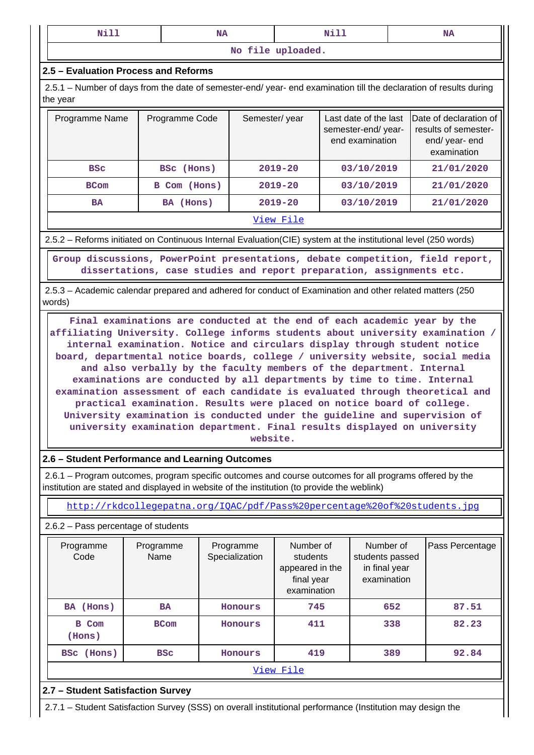| ---<br>N<br><b>ALLA</b><br>__ | - -<br>M<br>_______ | ---<br>----<br>__ |
|-------------------------------|---------------------|-------------------|
|                               |                     |                   |

**No file uploaded.**

### **2.5 – Evaluation Process and Reforms**

 2.5.1 – Number of days from the date of semester-end/ year- end examination till the declaration of results during the year

| Programme Name | Programme Code | Semester/year | Last date of the last<br>semester-end/year-<br>end examination | Date of declaration of<br>results of semester-<br>end/year-end<br>examination |
|----------------|----------------|---------------|----------------------------------------------------------------|-------------------------------------------------------------------------------|
| <b>BSC</b>     | BSC (Hons)     | $2019 - 20$   | 03/10/2019                                                     | 21/01/2020                                                                    |
| <b>BCom</b>    | B Com (Hons)   | $2019 - 20$   | 03/10/2019                                                     | 21/01/2020                                                                    |
| <b>BA</b>      | BA (Hons)      | $2019 - 20$   | 03/10/2019                                                     | 21/01/2020                                                                    |
|                |                | View File     |                                                                |                                                                               |

### 2.5.2 – Reforms initiated on Continuous Internal Evaluation(CIE) system at the institutional level (250 words)

 **Group discussions, PowerPoint presentations, debate competition, field report, dissertations, case studies and report preparation, assignments etc.**

 2.5.3 – Academic calendar prepared and adhered for conduct of Examination and other related matters (250 words)

 **Final examinations are conducted at the end of each academic year by the affiliating University. College informs students about university examination / internal examination. Notice and circulars display through student notice board, departmental notice boards, college / university website, social media and also verbally by the faculty members of the department. Internal examinations are conducted by all departments by time to time. Internal examination assessment of each candidate is evaluated through theoretical and practical examination. Results were placed on notice board of college. University examination is conducted under the guideline and supervision of university examination department. Final results displayed on university website.**

## **2.6 – Student Performance and Learning Outcomes**

 2.6.1 – Program outcomes, program specific outcomes and course outcomes for all programs offered by the institution are stated and displayed in website of the institution (to provide the weblink)

<http://rkdcollegepatna.org/IQAC/pdf/Pass%20percentage%20of%20students.jpg>

### 2.6.2 – Pass percentage of students

| Programme<br>Code | Programme<br>Name | Programme<br>Specialization | Number of<br>students<br>appeared in the<br>final year<br>examination | Number of<br>students passed<br>in final year<br>examination | Pass Percentage |  |  |  |
|-------------------|-------------------|-----------------------------|-----------------------------------------------------------------------|--------------------------------------------------------------|-----------------|--|--|--|
| BA (Hons)         | BA                | Honours                     | 745                                                                   | 652                                                          | 87.51           |  |  |  |
| B Com<br>(Hons)   | <b>BCom</b>       | Honours                     | 411                                                                   | 338                                                          | 82.23           |  |  |  |
| BSc (Hons)        | <b>BSC</b>        |                             | 419                                                                   | 389                                                          | 92.84           |  |  |  |
| View File         |                   |                             |                                                                       |                                                              |                 |  |  |  |

## **2.7 – Student Satisfaction Survey**

2.7.1 – Student Satisfaction Survey (SSS) on overall institutional performance (Institution may design the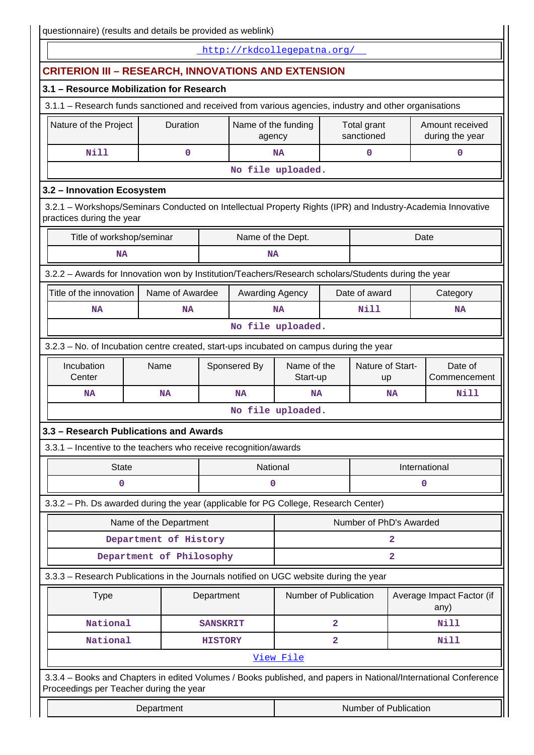|                                                                                                                                                            |                                                                                         |                                                                        |                 | http://rkdcollegepatna.org/ |                                 |                                    |                         |                |                                   |  |
|------------------------------------------------------------------------------------------------------------------------------------------------------------|-----------------------------------------------------------------------------------------|------------------------------------------------------------------------|-----------------|-----------------------------|---------------------------------|------------------------------------|-------------------------|----------------|-----------------------------------|--|
| <b>CRITERION III - RESEARCH, INNOVATIONS AND EXTENSION</b>                                                                                                 |                                                                                         |                                                                        |                 |                             |                                 |                                    |                         |                |                                   |  |
| 3.1 - Resource Mobilization for Research                                                                                                                   |                                                                                         |                                                                        |                 |                             |                                 |                                    |                         |                |                                   |  |
| 3.1.1 - Research funds sanctioned and received from various agencies, industry and other organisations                                                     |                                                                                         |                                                                        |                 |                             |                                 |                                    |                         |                |                                   |  |
| Nature of the Project                                                                                                                                      |                                                                                         | Duration<br>Name of the funding<br>Total grant<br>sanctioned<br>agency |                 |                             |                                 | Amount received<br>during the year |                         |                |                                   |  |
| Nill                                                                                                                                                       |                                                                                         | 0                                                                      |                 |                             | <b>NA</b>                       |                                    | $\mathbf 0$             |                | 0                                 |  |
|                                                                                                                                                            | No file uploaded.                                                                       |                                                                        |                 |                             |                                 |                                    |                         |                |                                   |  |
| 3.2 - Innovation Ecosystem                                                                                                                                 |                                                                                         |                                                                        |                 |                             |                                 |                                    |                         |                |                                   |  |
| 3.2.1 - Workshops/Seminars Conducted on Intellectual Property Rights (IPR) and Industry-Academia Innovative<br>practices during the year                   |                                                                                         |                                                                        |                 |                             |                                 |                                    |                         |                |                                   |  |
| Title of workshop/seminar                                                                                                                                  |                                                                                         |                                                                        |                 | Name of the Dept.           |                                 |                                    |                         |                | Date                              |  |
| <b>NA</b>                                                                                                                                                  |                                                                                         |                                                                        |                 | <b>NA</b>                   |                                 |                                    |                         |                |                                   |  |
| 3.2.2 - Awards for Innovation won by Institution/Teachers/Research scholars/Students during the year                                                       |                                                                                         |                                                                        |                 |                             |                                 |                                    |                         |                |                                   |  |
| Title of the innovation                                                                                                                                    |                                                                                         | Name of Awardee                                                        |                 | Awarding Agency             |                                 |                                    | Date of award           |                | Category                          |  |
| <b>NA</b>                                                                                                                                                  |                                                                                         | <b>NA</b>                                                              |                 |                             | <b>NA</b>                       |                                    | <b>Nill</b>             |                | <b>NA</b>                         |  |
|                                                                                                                                                            |                                                                                         |                                                                        |                 |                             | No file uploaded.               |                                    |                         |                |                                   |  |
|                                                                                                                                                            | 3.2.3 - No. of Incubation centre created, start-ups incubated on campus during the year |                                                                        |                 |                             |                                 |                                    |                         |                |                                   |  |
| Name of the<br>Incubation<br>Name<br>Sponsered By<br>Center<br>Start-up                                                                                    |                                                                                         |                                                                        |                 |                             | Nature of Start-<br><b>up</b>   |                                    | Date of<br>Commencement |                |                                   |  |
| <b>NA</b>                                                                                                                                                  |                                                                                         | <b>NA</b>                                                              |                 | <b>NA</b>                   | <b>NA</b>                       |                                    |                         | <b>NA</b>      | Nill                              |  |
|                                                                                                                                                            |                                                                                         |                                                                        |                 |                             | No file uploaded.               |                                    |                         |                |                                   |  |
| 3.3 - Research Publications and Awards                                                                                                                     |                                                                                         |                                                                        |                 |                             |                                 |                                    |                         |                |                                   |  |
| 3.3.1 - Incentive to the teachers who receive recognition/awards                                                                                           |                                                                                         |                                                                        |                 |                             |                                 |                                    |                         |                |                                   |  |
| <b>State</b>                                                                                                                                               |                                                                                         |                                                                        |                 | National                    | International                   |                                    |                         |                |                                   |  |
| 0                                                                                                                                                          |                                                                                         |                                                                        |                 | 0                           |                                 |                                    |                         |                | 0                                 |  |
| 3.3.2 - Ph. Ds awarded during the year (applicable for PG College, Research Center)                                                                        |                                                                                         |                                                                        |                 |                             |                                 |                                    |                         |                |                                   |  |
|                                                                                                                                                            | Name of the Department                                                                  |                                                                        |                 |                             |                                 |                                    | Number of PhD's Awarded |                |                                   |  |
|                                                                                                                                                            | Department of History                                                                   |                                                                        |                 |                             | 2                               |                                    |                         |                |                                   |  |
|                                                                                                                                                            | Department of Philosophy                                                                |                                                                        |                 |                             |                                 |                                    |                         | $\overline{a}$ |                                   |  |
| 3.3.3 - Research Publications in the Journals notified on UGC website during the year                                                                      |                                                                                         |                                                                        |                 |                             |                                 |                                    |                         |                |                                   |  |
| <b>Type</b>                                                                                                                                                |                                                                                         |                                                                        | Department      |                             | Number of Publication           |                                    |                         |                | Average Impact Factor (if<br>any) |  |
| National                                                                                                                                                   |                                                                                         |                                                                        | <b>SANSKRIT</b> |                             |                                 | $\overline{\mathbf{2}}$            |                         |                | Nill                              |  |
| National                                                                                                                                                   |                                                                                         |                                                                        | <b>HISTORY</b>  |                             | $\overline{\mathbf{2}}$<br>Nill |                                    |                         |                |                                   |  |
|                                                                                                                                                            |                                                                                         |                                                                        |                 |                             | View File                       |                                    |                         |                |                                   |  |
| 3.3.4 - Books and Chapters in edited Volumes / Books published, and papers in National/International Conference<br>Proceedings per Teacher during the year |                                                                                         |                                                                        |                 |                             |                                 |                                    |                         |                |                                   |  |
|                                                                                                                                                            | Department                                                                              |                                                                        |                 |                             |                                 |                                    | Number of Publication   |                |                                   |  |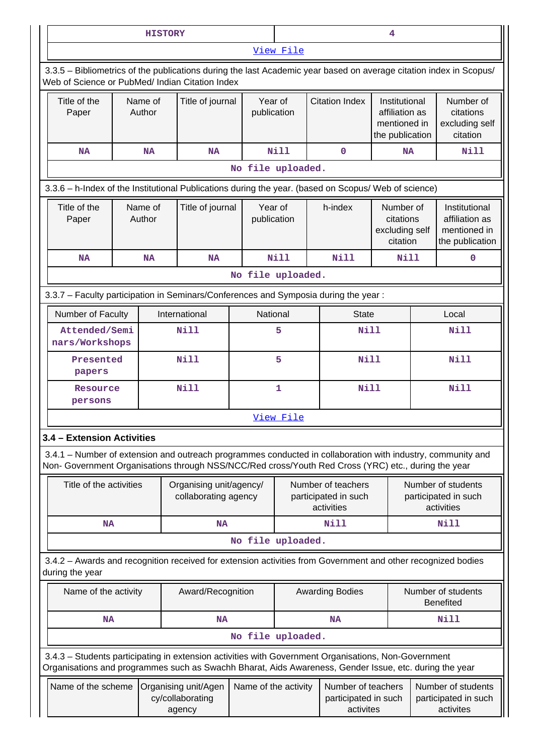|                                                                                                                                                                                                                                                                       |                                                                                                                                                                       |  | <b>HISTORY</b>    |                                                 |                        |                                                          |                                                                                                              | 4                                                                  |                                                          |                                                                                                             |
|-----------------------------------------------------------------------------------------------------------------------------------------------------------------------------------------------------------------------------------------------------------------------|-----------------------------------------------------------------------------------------------------------------------------------------------------------------------|--|-------------------|-------------------------------------------------|------------------------|----------------------------------------------------------|--------------------------------------------------------------------------------------------------------------|--------------------------------------------------------------------|----------------------------------------------------------|-------------------------------------------------------------------------------------------------------------|
|                                                                                                                                                                                                                                                                       |                                                                                                                                                                       |  |                   |                                                 |                        | View File                                                |                                                                                                              |                                                                    |                                                          |                                                                                                             |
|                                                                                                                                                                                                                                                                       | 3.3.5 - Bibliometrics of the publications during the last Academic year based on average citation index in Scopus/<br>Web of Science or PubMed/ Indian Citation Index |  |                   |                                                 |                        |                                                          |                                                                                                              |                                                                    |                                                          |                                                                                                             |
|                                                                                                                                                                                                                                                                       | Title of the<br>Paper                                                                                                                                                 |  | Name of<br>Author | Title of journal<br>Year of<br>publication      |                        |                                                          | <b>Citation Index</b>                                                                                        | Institutional<br>affiliation as<br>mentioned in<br>the publication |                                                          | Number of<br>citations<br>excluding self<br>citation                                                        |
|                                                                                                                                                                                                                                                                       | <b>NA</b>                                                                                                                                                             |  | <b>NA</b>         | <b>NA</b>                                       |                        | Nill                                                     | $\mathbf 0$                                                                                                  | <b>NA</b>                                                          |                                                          | Nill                                                                                                        |
|                                                                                                                                                                                                                                                                       |                                                                                                                                                                       |  |                   |                                                 | No file uploaded.      |                                                          |                                                                                                              |                                                                    |                                                          |                                                                                                             |
|                                                                                                                                                                                                                                                                       |                                                                                                                                                                       |  |                   |                                                 |                        |                                                          | 3.3.6 - h-Index of the Institutional Publications during the year. (based on Scopus/ Web of science)         |                                                                    |                                                          |                                                                                                             |
|                                                                                                                                                                                                                                                                       | Title of the<br>Paper                                                                                                                                                 |  | Name of<br>Author | Title of journal                                | Year of<br>publication |                                                          | h-index                                                                                                      | Number of<br>citations<br>excluding self<br>citation               |                                                          | Institutional<br>affiliation as<br>mentioned in<br>the publication                                          |
|                                                                                                                                                                                                                                                                       | <b>NA</b>                                                                                                                                                             |  | <b>NA</b>         | <b>NA</b>                                       |                        | Nill                                                     | <b>Nill</b>                                                                                                  | Nill                                                               |                                                          | $\mathbf 0$                                                                                                 |
|                                                                                                                                                                                                                                                                       |                                                                                                                                                                       |  |                   |                                                 | No file uploaded.      |                                                          |                                                                                                              |                                                                    |                                                          |                                                                                                             |
|                                                                                                                                                                                                                                                                       |                                                                                                                                                                       |  |                   |                                                 |                        |                                                          | 3.3.7 - Faculty participation in Seminars/Conferences and Symposia during the year:                          |                                                                    |                                                          |                                                                                                             |
|                                                                                                                                                                                                                                                                       | Number of Faculty                                                                                                                                                     |  |                   | International                                   | National               |                                                          | <b>State</b>                                                                                                 |                                                                    | Local                                                    |                                                                                                             |
|                                                                                                                                                                                                                                                                       | Attended/Semi<br>nars/Workshops                                                                                                                                       |  |                   | Nill                                            | 5                      |                                                          | Nill                                                                                                         |                                                                    | <b>Nill</b>                                              |                                                                                                             |
|                                                                                                                                                                                                                                                                       | Presented<br>papers                                                                                                                                                   |  |                   | <b>Nill</b>                                     | 5                      |                                                          | <b>Nill</b>                                                                                                  |                                                                    | <b>Nill</b>                                              |                                                                                                             |
|                                                                                                                                                                                                                                                                       | Resource<br>persons                                                                                                                                                   |  |                   | <b>Nill</b>                                     | 1                      |                                                          | <b>Nill</b>                                                                                                  |                                                                    |                                                          | <b>Nill</b>                                                                                                 |
|                                                                                                                                                                                                                                                                       |                                                                                                                                                                       |  |                   |                                                 |                        | View File                                                |                                                                                                              |                                                                    |                                                          |                                                                                                             |
|                                                                                                                                                                                                                                                                       | 3.4 - Extension Activities                                                                                                                                            |  |                   |                                                 |                        |                                                          |                                                                                                              |                                                                    |                                                          |                                                                                                             |
|                                                                                                                                                                                                                                                                       |                                                                                                                                                                       |  |                   |                                                 |                        |                                                          | Non- Government Organisations through NSS/NCC/Red cross/Youth Red Cross (YRC) etc., during the year          |                                                                    |                                                          | 3.4.1 – Number of extension and outreach programmes conducted in collaboration with industry, community and |
|                                                                                                                                                                                                                                                                       | Title of the activities                                                                                                                                               |  |                   | Organising unit/agency/<br>collaborating agency |                        | Number of teachers<br>participated in such<br>activities |                                                                                                              |                                                                    | Number of students<br>participated in such<br>activities |                                                                                                             |
|                                                                                                                                                                                                                                                                       | NA                                                                                                                                                                    |  |                   | <b>NA</b>                                       |                        |                                                          | Nill                                                                                                         |                                                                    |                                                          | Nill                                                                                                        |
|                                                                                                                                                                                                                                                                       |                                                                                                                                                                       |  |                   |                                                 | No file uploaded.      |                                                          |                                                                                                              |                                                                    |                                                          |                                                                                                             |
|                                                                                                                                                                                                                                                                       | during the year                                                                                                                                                       |  |                   |                                                 |                        |                                                          | 3.4.2 - Awards and recognition received for extension activities from Government and other recognized bodies |                                                                    |                                                          |                                                                                                             |
|                                                                                                                                                                                                                                                                       | Name of the activity                                                                                                                                                  |  |                   | Award/Recognition                               |                        |                                                          | <b>Awarding Bodies</b>                                                                                       |                                                                    |                                                          | Number of students<br><b>Benefited</b>                                                                      |
|                                                                                                                                                                                                                                                                       | <b>NA</b>                                                                                                                                                             |  |                   | <b>NA</b>                                       |                        |                                                          | <b>NA</b>                                                                                                    |                                                                    |                                                          | <b>Nill</b>                                                                                                 |
|                                                                                                                                                                                                                                                                       |                                                                                                                                                                       |  |                   |                                                 | No file uploaded.      |                                                          |                                                                                                              |                                                                    |                                                          |                                                                                                             |
|                                                                                                                                                                                                                                                                       |                                                                                                                                                                       |  |                   |                                                 |                        |                                                          | 3.4.3 - Students participating in extension activities with Government Organisations, Non-Government         |                                                                    |                                                          |                                                                                                             |
| Organisations and programmes such as Swachh Bharat, Aids Awareness, Gender Issue, etc. during the year<br>Name of the scheme<br>Name of the activity<br>Number of teachers<br>Organising unit/Agen<br>cy/collaborating<br>participated in such<br>activites<br>agency |                                                                                                                                                                       |  |                   |                                                 |                        |                                                          |                                                                                                              |                                                                    |                                                          | Number of students<br>participated in such<br>activites                                                     |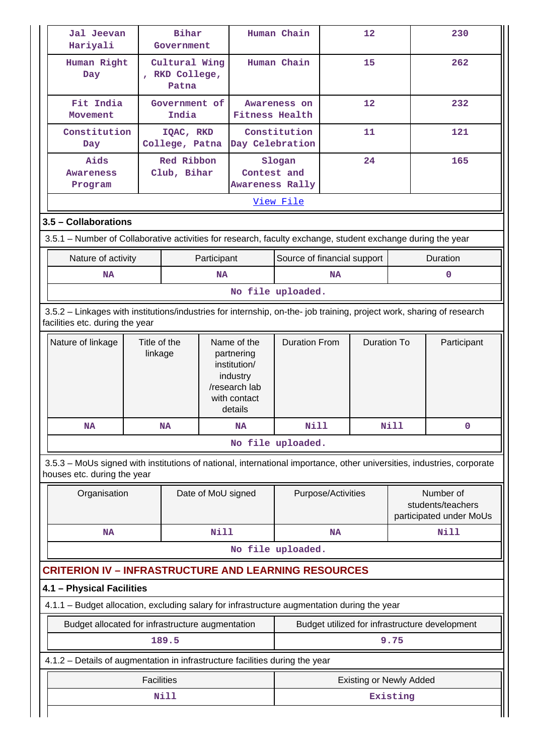| Hariyali                                                                                                                                                              | Bihar<br>Jal Jeevan<br>Government |                                          |                                       | Human Chain                                                                        |                                          | $12 \overline{ }$  |                                | 230      |                                                |
|-----------------------------------------------------------------------------------------------------------------------------------------------------------------------|-----------------------------------|------------------------------------------|---------------------------------------|------------------------------------------------------------------------------------|------------------------------------------|--------------------|--------------------------------|----------|------------------------------------------------|
| Human Right<br>Day                                                                                                                                                    |                                   | Cultural Wing<br>, RKD College,<br>Patna |                                       |                                                                                    | Human Chain                              |                    | 15                             |          | 262                                            |
| Fit India<br>Movement                                                                                                                                                 | Government of<br>India            |                                          | Awareness on<br><b>Fitness Health</b> |                                                                                    | 12                                       |                    |                                | 232      |                                                |
| Constitution<br>Day                                                                                                                                                   |                                   | IQAC, RKD<br>College, Patna              |                                       | Day Celebration                                                                    | Constitution                             |                    | 11                             |          | 121                                            |
| Aids<br>Awareness<br>Program                                                                                                                                          |                                   | Red Ribbon<br>Club, Bihar                |                                       |                                                                                    | Slogan<br>Contest and<br>Awareness Rally |                    | 24                             |          | 165                                            |
|                                                                                                                                                                       |                                   |                                          |                                       |                                                                                    | View File                                |                    |                                |          |                                                |
| 3.5 - Collaborations                                                                                                                                                  |                                   |                                          |                                       |                                                                                    |                                          |                    |                                |          |                                                |
| 3.5.1 – Number of Collaborative activities for research, faculty exchange, student exchange during the year                                                           |                                   |                                          |                                       |                                                                                    |                                          |                    |                                |          |                                                |
| Nature of activity                                                                                                                                                    |                                   |                                          | Participant                           |                                                                                    | Source of financial support              |                    |                                |          | Duration                                       |
| <b>NA</b>                                                                                                                                                             |                                   |                                          | <b>NA</b>                             |                                                                                    |                                          | <b>NA</b>          |                                |          | $\mathbf 0$                                    |
|                                                                                                                                                                       |                                   |                                          |                                       |                                                                                    | No file uploaded.                        |                    |                                |          |                                                |
| 3.5.2 - Linkages with institutions/industries for internship, on-the- job training, project work, sharing of research<br>facilities etc. during the year              |                                   |                                          |                                       |                                                                                    |                                          |                    |                                |          |                                                |
| Nature of linkage                                                                                                                                                     |                                   | Title of the                             |                                       | Name of the                                                                        | <b>Duration From</b>                     |                    | <b>Duration To</b>             |          | Participant                                    |
|                                                                                                                                                                       | linkage                           |                                          |                                       | partnering<br>institution/<br>industry<br>/research lab<br>with contact<br>details |                                          |                    |                                |          |                                                |
| <b>NA</b>                                                                                                                                                             |                                   | <b>NA</b>                                |                                       | <b>NA</b>                                                                          | Nill<br>No file uploaded.                |                    |                                | Nill     | 0                                              |
| 3.5.3 – MoUs signed with institutions of national, international importance, other universities, industries, corporate<br>houses etc. during the year<br>Organisation |                                   |                                          |                                       | Date of MoU signed                                                                 |                                          | Purpose/Activities |                                |          | Number of<br>students/teachers                 |
| <b>NA</b>                                                                                                                                                             |                                   |                                          | Nill                                  |                                                                                    |                                          | <b>NA</b>          |                                |          | Nill                                           |
|                                                                                                                                                                       |                                   |                                          |                                       |                                                                                    | No file uploaded.                        |                    |                                |          |                                                |
| <b>CRITERION IV – INFRASTRUCTURE AND LEARNING RESOURCES</b>                                                                                                           |                                   |                                          |                                       |                                                                                    |                                          |                    |                                |          |                                                |
| 4.1 - Physical Facilities                                                                                                                                             |                                   |                                          |                                       |                                                                                    |                                          |                    |                                |          |                                                |
| 4.1.1 - Budget allocation, excluding salary for infrastructure augmentation during the year                                                                           |                                   |                                          |                                       |                                                                                    |                                          |                    |                                |          | participated under MoUs                        |
| Budget allocated for infrastructure augmentation                                                                                                                      |                                   |                                          |                                       |                                                                                    |                                          |                    |                                |          | Budget utilized for infrastructure development |
|                                                                                                                                                                       |                                   | 189.5                                    |                                       |                                                                                    |                                          |                    |                                | 9.75     |                                                |
| 4.1.2 - Details of augmentation in infrastructure facilities during the year                                                                                          |                                   |                                          |                                       |                                                                                    |                                          |                    |                                |          |                                                |
|                                                                                                                                                                       | <b>Facilities</b>                 | Nill                                     |                                       |                                                                                    |                                          |                    | <b>Existing or Newly Added</b> | Existing |                                                |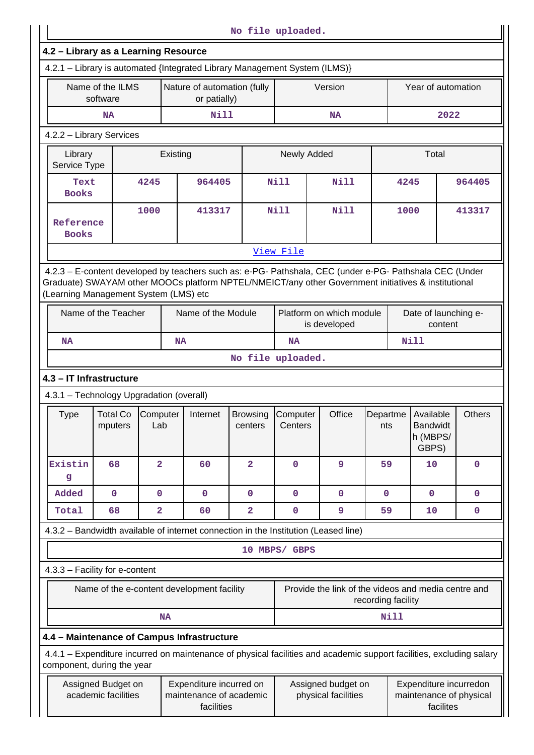|                                      |                                                                                       |                                                                           |                                                                                                                                                                                                                |                            | No file uploaded.   |                                           |             |      |                                                                |               |  |
|--------------------------------------|---------------------------------------------------------------------------------------|---------------------------------------------------------------------------|----------------------------------------------------------------------------------------------------------------------------------------------------------------------------------------------------------------|----------------------------|---------------------|-------------------------------------------|-------------|------|----------------------------------------------------------------|---------------|--|
| 4.2 - Library as a Learning Resource |                                                                                       |                                                                           | 4.2.1 - Library is automated {Integrated Library Management System (ILMS)}                                                                                                                                     |                            |                     |                                           |             |      |                                                                |               |  |
|                                      | Name of the ILMS<br>software                                                          |                                                                           | Nature of automation (fully<br>or patially)                                                                                                                                                                    |                            |                     | Version                                   |             |      | Year of automation                                             |               |  |
|                                      | NA                                                                                    |                                                                           | Nill                                                                                                                                                                                                           |                            |                     | <b>NA</b>                                 |             |      | 2022                                                           |               |  |
|                                      | 4.2.2 - Library Services                                                              |                                                                           |                                                                                                                                                                                                                |                            |                     |                                           |             |      |                                                                |               |  |
| Library<br>Service Type              |                                                                                       |                                                                           | Existing                                                                                                                                                                                                       |                            | Newly Added         |                                           |             |      | Total                                                          |               |  |
| Text<br><b>Books</b>                 |                                                                                       | 4245                                                                      | 964405                                                                                                                                                                                                         |                            | <b>Nill</b>         | Nill                                      |             | 4245 |                                                                | 964405        |  |
| Reference<br><b>Books</b>            |                                                                                       | 1000                                                                      | 413317                                                                                                                                                                                                         |                            | Nill<br>Nill        |                                           |             | 1000 |                                                                | 413317        |  |
|                                      |                                                                                       |                                                                           |                                                                                                                                                                                                                |                            | View File           |                                           |             |      |                                                                |               |  |
|                                      | (Learning Management System (LMS) etc                                                 |                                                                           | 4.2.3 - E-content developed by teachers such as: e-PG- Pathshala, CEC (under e-PG- Pathshala CEC (Under<br>Graduate) SWAYAM other MOOCs platform NPTEL/NMEICT/any other Government initiatives & institutional |                            |                     |                                           |             |      |                                                                |               |  |
|                                      | Name of the Teacher<br>Name of the Module<br>Platform on which module<br>is developed |                                                                           |                                                                                                                                                                                                                |                            |                     | Date of launching e-<br>content           |             |      |                                                                |               |  |
| NA                                   |                                                                                       |                                                                           | <b>NA</b>                                                                                                                                                                                                      |                            | <b>NA</b>           |                                           |             |      | <b>Nill</b>                                                    |               |  |
|                                      |                                                                                       |                                                                           |                                                                                                                                                                                                                |                            | No file uploaded.   |                                           |             |      |                                                                |               |  |
|                                      | 4.3 - IT Infrastructure                                                               |                                                                           |                                                                                                                                                                                                                |                            |                     |                                           |             |      |                                                                |               |  |
|                                      | 4.3.1 - Technology Upgradation (overall)                                              |                                                                           |                                                                                                                                                                                                                |                            |                     |                                           |             |      |                                                                |               |  |
| Type                                 | <b>Total Co</b><br>mputers                                                            | Computer<br>Lab                                                           | Internet                                                                                                                                                                                                       | <b>Browsing</b><br>centers | Computer<br>Centers | Office                                    | nts         |      | Departme   Available<br><b>Bandwidt</b><br>h (MBPS/<br>GBPS)   | <b>Others</b> |  |
| Existin<br>g                         | 68                                                                                    | $\overline{2}$                                                            | 60                                                                                                                                                                                                             | $\overline{\mathbf{2}}$    | $\mathbf 0$         | 9                                         | 59          |      | 10                                                             | $\mathbf 0$   |  |
| Added                                | $\mathbf 0$                                                                           | $\mathbf 0$                                                               | $\mathbf 0$                                                                                                                                                                                                    | 0                          | $\mathbf 0$         | 0                                         | $\mathbf 0$ |      | $\mathbf 0$                                                    | $\mathbf 0$   |  |
| Total                                | 68                                                                                    | $\overline{\mathbf{2}}$                                                   | 60                                                                                                                                                                                                             | 2                          | 0                   | 9                                         | 59          |      | 10                                                             | 0             |  |
|                                      |                                                                                       |                                                                           | 4.3.2 – Bandwidth available of internet connection in the Institution (Leased line)                                                                                                                            |                            |                     |                                           |             |      |                                                                |               |  |
|                                      |                                                                                       |                                                                           |                                                                                                                                                                                                                |                            | 10 MBPS/ GBPS       |                                           |             |      |                                                                |               |  |
|                                      | 4.3.3 - Facility for e-content                                                        |                                                                           |                                                                                                                                                                                                                |                            |                     |                                           |             |      |                                                                |               |  |
|                                      | Name of the e-content development facility                                            | Provide the link of the videos and media centre and<br>recording facility |                                                                                                                                                                                                                |                            |                     |                                           |             |      |                                                                |               |  |
|                                      |                                                                                       | <b>NA</b>                                                                 |                                                                                                                                                                                                                |                            |                     |                                           | <b>Nill</b> |      |                                                                |               |  |
|                                      |                                                                                       |                                                                           | 4.4 - Maintenance of Campus Infrastructure                                                                                                                                                                     |                            |                     |                                           |             |      |                                                                |               |  |
|                                      | component, during the year                                                            |                                                                           | 4.4.1 - Expenditure incurred on maintenance of physical facilities and academic support facilities, excluding salary                                                                                           |                            |                     |                                           |             |      |                                                                |               |  |
|                                      | Assigned Budget on<br>academic facilities                                             |                                                                           | Expenditure incurred on<br>maintenance of academic<br>facilities                                                                                                                                               |                            |                     | Assigned budget on<br>physical facilities |             |      | Expenditure incurredon<br>maintenance of physical<br>facilites |               |  |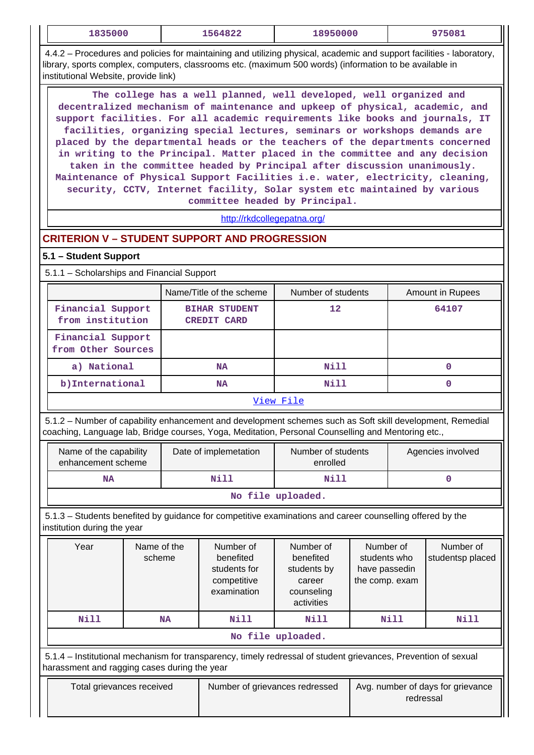| 1835000                                                                                                                                                                                                                                                                                                                                                                                                                                                                                                                                                                                                                                                                                                                                                        |                       |           | 1564822                                                              | 18950000                                                                    |                                                              |                   | 975081                            |  |  |
|----------------------------------------------------------------------------------------------------------------------------------------------------------------------------------------------------------------------------------------------------------------------------------------------------------------------------------------------------------------------------------------------------------------------------------------------------------------------------------------------------------------------------------------------------------------------------------------------------------------------------------------------------------------------------------------------------------------------------------------------------------------|-----------------------|-----------|----------------------------------------------------------------------|-----------------------------------------------------------------------------|--------------------------------------------------------------|-------------------|-----------------------------------|--|--|
| 4.4.2 – Procedures and policies for maintaining and utilizing physical, academic and support facilities - laboratory,<br>library, sports complex, computers, classrooms etc. (maximum 500 words) (information to be available in<br>institutional Website, provide link)                                                                                                                                                                                                                                                                                                                                                                                                                                                                                       |                       |           |                                                                      |                                                                             |                                                              |                   |                                   |  |  |
| The college has a well planned, well developed, well organized and<br>decentralized mechanism of maintenance and upkeep of physical, academic, and<br>support facilities. For all academic requirements like books and journals, IT<br>facilities, organizing special lectures, seminars or workshops demands are<br>placed by the departmental heads or the teachers of the departments concerned<br>in writing to the Principal. Matter placed in the committee and any decision<br>taken in the committee headed by Principal after discussion unanimously.<br>Maintenance of Physical Support Facilities i.e. water, electricity, cleaning,<br>security, CCTV, Internet facility, Solar system etc maintained by various<br>committee headed by Principal. |                       |           |                                                                      |                                                                             |                                                              |                   |                                   |  |  |
|                                                                                                                                                                                                                                                                                                                                                                                                                                                                                                                                                                                                                                                                                                                                                                |                       |           | http://rkdcollegepatna.org/                                          |                                                                             |                                                              |                   |                                   |  |  |
| <b>CRITERION V - STUDENT SUPPORT AND PROGRESSION</b>                                                                                                                                                                                                                                                                                                                                                                                                                                                                                                                                                                                                                                                                                                           |                       |           |                                                                      |                                                                             |                                                              |                   |                                   |  |  |
| 5.1 - Student Support                                                                                                                                                                                                                                                                                                                                                                                                                                                                                                                                                                                                                                                                                                                                          |                       |           |                                                                      |                                                                             |                                                              |                   |                                   |  |  |
| 5.1.1 - Scholarships and Financial Support                                                                                                                                                                                                                                                                                                                                                                                                                                                                                                                                                                                                                                                                                                                     |                       |           |                                                                      |                                                                             |                                                              |                   |                                   |  |  |
|                                                                                                                                                                                                                                                                                                                                                                                                                                                                                                                                                                                                                                                                                                                                                                |                       |           | Name/Title of the scheme                                             | Number of students                                                          |                                                              |                   | Amount in Rupees                  |  |  |
| Financial Support<br>from institution                                                                                                                                                                                                                                                                                                                                                                                                                                                                                                                                                                                                                                                                                                                          |                       |           | <b>BIHAR STUDENT</b><br><b>CREDIT CARD</b>                           | 12                                                                          |                                                              |                   | 64107                             |  |  |
| Financial Support<br>from Other Sources                                                                                                                                                                                                                                                                                                                                                                                                                                                                                                                                                                                                                                                                                                                        |                       |           |                                                                      |                                                                             |                                                              |                   |                                   |  |  |
| a) National                                                                                                                                                                                                                                                                                                                                                                                                                                                                                                                                                                                                                                                                                                                                                    |                       |           | <b>NA</b>                                                            | <b>Nill</b>                                                                 |                                                              |                   | $\mathbf{0}$                      |  |  |
| b) International                                                                                                                                                                                                                                                                                                                                                                                                                                                                                                                                                                                                                                                                                                                                               |                       |           | NA                                                                   | Nill                                                                        |                                                              |                   | 0                                 |  |  |
| 5.1.2 – Number of capability enhancement and development schemes such as Soft skill development, Remedial<br>coaching, Language lab, Bridge courses, Yoga, Meditation, Personal Counselling and Mentoring etc.,                                                                                                                                                                                                                                                                                                                                                                                                                                                                                                                                                |                       |           |                                                                      | View File                                                                   |                                                              |                   |                                   |  |  |
| Name of the capability<br>enhancement scheme                                                                                                                                                                                                                                                                                                                                                                                                                                                                                                                                                                                                                                                                                                                   |                       |           | Date of implemetation                                                | Number of students<br>enrolled                                              |                                                              | Agencies involved |                                   |  |  |
| <b>NA</b>                                                                                                                                                                                                                                                                                                                                                                                                                                                                                                                                                                                                                                                                                                                                                      |                       |           | <b>Nill</b>                                                          | Nill                                                                        |                                                              |                   | $\mathbf 0$                       |  |  |
|                                                                                                                                                                                                                                                                                                                                                                                                                                                                                                                                                                                                                                                                                                                                                                |                       |           |                                                                      | No file uploaded.                                                           |                                                              |                   |                                   |  |  |
| 5.1.3 – Students benefited by guidance for competitive examinations and career counselling offered by the<br>institution during the year                                                                                                                                                                                                                                                                                                                                                                                                                                                                                                                                                                                                                       |                       |           |                                                                      |                                                                             |                                                              |                   |                                   |  |  |
| Year                                                                                                                                                                                                                                                                                                                                                                                                                                                                                                                                                                                                                                                                                                                                                           | Name of the<br>scheme |           | Number of<br>benefited<br>students for<br>competitive<br>examination | Number of<br>benefited<br>students by<br>career<br>counseling<br>activities | Number of<br>students who<br>have passedin<br>the comp. exam |                   | Number of<br>studentsp placed     |  |  |
| Nill                                                                                                                                                                                                                                                                                                                                                                                                                                                                                                                                                                                                                                                                                                                                                           |                       | <b>NA</b> | <b>Nill</b>                                                          | Nill                                                                        |                                                              | <b>Nill</b>       | <b>Nill</b>                       |  |  |
|                                                                                                                                                                                                                                                                                                                                                                                                                                                                                                                                                                                                                                                                                                                                                                |                       |           |                                                                      | No file uploaded.                                                           |                                                              |                   |                                   |  |  |
| 5.1.4 – Institutional mechanism for transparency, timely redressal of student grievances, Prevention of sexual<br>harassment and ragging cases during the year                                                                                                                                                                                                                                                                                                                                                                                                                                                                                                                                                                                                 |                       |           |                                                                      |                                                                             |                                                              |                   |                                   |  |  |
| Total grievances received                                                                                                                                                                                                                                                                                                                                                                                                                                                                                                                                                                                                                                                                                                                                      |                       |           | Number of grievances redressed                                       |                                                                             |                                                              | redressal         | Avg. number of days for grievance |  |  |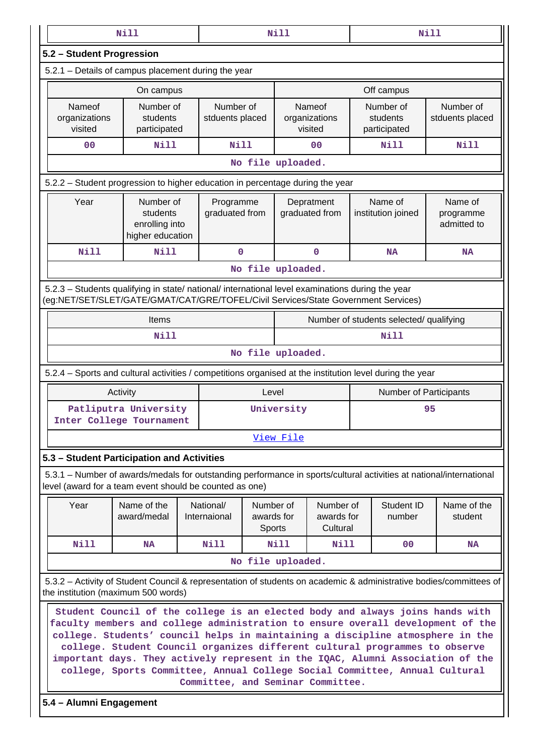|                                                                                                                                                                                              | <b>Nill</b>                                                                                                                                                |  |                                   |                                          | Nill              |                                     |                                         |                                       | <b>Nill</b>                                                                                                                                                     |  |  |
|----------------------------------------------------------------------------------------------------------------------------------------------------------------------------------------------|------------------------------------------------------------------------------------------------------------------------------------------------------------|--|-----------------------------------|------------------------------------------|-------------------|-------------------------------------|-----------------------------------------|---------------------------------------|-----------------------------------------------------------------------------------------------------------------------------------------------------------------|--|--|
| 5.2 - Student Progression                                                                                                                                                                    |                                                                                                                                                            |  |                                   |                                          |                   |                                     |                                         |                                       |                                                                                                                                                                 |  |  |
| 5.2.1 - Details of campus placement during the year                                                                                                                                          |                                                                                                                                                            |  |                                   |                                          |                   |                                     |                                         |                                       |                                                                                                                                                                 |  |  |
|                                                                                                                                                                                              | On campus                                                                                                                                                  |  |                                   |                                          |                   |                                     |                                         | Off campus                            |                                                                                                                                                                 |  |  |
| Nameof<br>organizations<br>visited                                                                                                                                                           | Number of<br>students<br>participated                                                                                                                      |  | Number of<br>stduents placed      |                                          |                   | Nameof<br>organizations<br>visited  |                                         | Number of<br>students<br>participated | Number of<br>stduents placed                                                                                                                                    |  |  |
| 0 <sub>0</sub>                                                                                                                                                                               | <b>Nill</b>                                                                                                                                                |  | <b>Nill</b>                       |                                          | 0 <sub>0</sub>    |                                     | <b>Nill</b>                             | Nill                                  |                                                                                                                                                                 |  |  |
| No file uploaded.                                                                                                                                                                            |                                                                                                                                                            |  |                                   |                                          |                   |                                     |                                         |                                       |                                                                                                                                                                 |  |  |
| 5.2.2 - Student progression to higher education in percentage during the year                                                                                                                |                                                                                                                                                            |  |                                   |                                          |                   |                                     |                                         |                                       |                                                                                                                                                                 |  |  |
| Year                                                                                                                                                                                         | Number of<br>students<br>enrolling into<br>higher education                                                                                                |  | Programme<br>graduated from       |                                          |                   | Depratment<br>graduated from        |                                         | Name of<br>institution joined         | Name of<br>programme<br>admitted to                                                                                                                             |  |  |
| <b>Nill</b>                                                                                                                                                                                  | <b>Nill</b>                                                                                                                                                |  | 0                                 |                                          |                   | 0                                   |                                         | <b>NA</b>                             | <b>NA</b>                                                                                                                                                       |  |  |
|                                                                                                                                                                                              |                                                                                                                                                            |  |                                   |                                          | No file uploaded. |                                     |                                         |                                       |                                                                                                                                                                 |  |  |
| 5.2.3 - Students qualifying in state/ national/ international level examinations during the year<br>(eg:NET/SET/SLET/GATE/GMAT/CAT/GRE/TOFEL/Civil Services/State Government Services)       |                                                                                                                                                            |  |                                   |                                          |                   |                                     |                                         |                                       |                                                                                                                                                                 |  |  |
|                                                                                                                                                                                              | Items                                                                                                                                                      |  |                                   |                                          |                   |                                     | Number of students selected/ qualifying |                                       |                                                                                                                                                                 |  |  |
|                                                                                                                                                                                              | Nill                                                                                                                                                       |  |                                   |                                          |                   |                                     |                                         | <b>Nill</b>                           |                                                                                                                                                                 |  |  |
|                                                                                                                                                                                              |                                                                                                                                                            |  |                                   |                                          | No file uploaded. |                                     |                                         |                                       |                                                                                                                                                                 |  |  |
| 5.2.4 – Sports and cultural activities / competitions organised at the institution level during the year                                                                                     |                                                                                                                                                            |  |                                   |                                          |                   |                                     |                                         |                                       |                                                                                                                                                                 |  |  |
|                                                                                                                                                                                              | Activity                                                                                                                                                   |  |                                   | Level                                    |                   |                                     |                                         | Number of Participants                |                                                                                                                                                                 |  |  |
|                                                                                                                                                                                              | Patliputra University                                                                                                                                      |  |                                   |                                          | University        |                                     |                                         |                                       | 95                                                                                                                                                              |  |  |
| Inter College Tournament                                                                                                                                                                     |                                                                                                                                                            |  |                                   |                                          |                   |                                     |                                         |                                       |                                                                                                                                                                 |  |  |
|                                                                                                                                                                                              |                                                                                                                                                            |  |                                   |                                          | View File         |                                     |                                         |                                       |                                                                                                                                                                 |  |  |
| 5.3 - Student Participation and Activities                                                                                                                                                   |                                                                                                                                                            |  |                                   |                                          |                   |                                     |                                         |                                       |                                                                                                                                                                 |  |  |
| 5.3.1 – Number of awards/medals for outstanding performance in sports/cultural activities at national/international<br>level (award for a team event should be counted as one)               |                                                                                                                                                            |  |                                   |                                          |                   |                                     |                                         |                                       |                                                                                                                                                                 |  |  |
| Year                                                                                                                                                                                         | Name of the<br>award/medal                                                                                                                                 |  | National/<br>Internaional         | Number of<br>awards for<br><b>Sports</b> |                   | Number of<br>awards for<br>Cultural |                                         | Student ID<br>number                  | Name of the<br>student                                                                                                                                          |  |  |
| Nill                                                                                                                                                                                         | NA                                                                                                                                                         |  | Nill                              |                                          | Nill              | Nill                                |                                         | 0 <sup>0</sup>                        | NA                                                                                                                                                              |  |  |
|                                                                                                                                                                                              |                                                                                                                                                            |  |                                   |                                          | No file uploaded. |                                     |                                         |                                       |                                                                                                                                                                 |  |  |
| 5.3.2 - Activity of Student Council & representation of students on academic & administrative bodies/committees of<br>the institution (maximum 500 words)                                    |                                                                                                                                                            |  |                                   |                                          |                   |                                     |                                         |                                       |                                                                                                                                                                 |  |  |
| faculty members and college administration to ensure overall development of the<br>college. Students' council helps in maintaining a discipline atmosphere in the<br>5.4 - Alumni Engagement | college. Student Council organizes different cultural programmes to observe<br>college, Sports Committee, Annual College Social Committee, Annual Cultural |  | Committee, and Seminar Committee. |                                          |                   |                                     |                                         |                                       | Student Council of the college is an elected body and always joins hands with<br>important days. They actively represent in the IQAC, Alumni Association of the |  |  |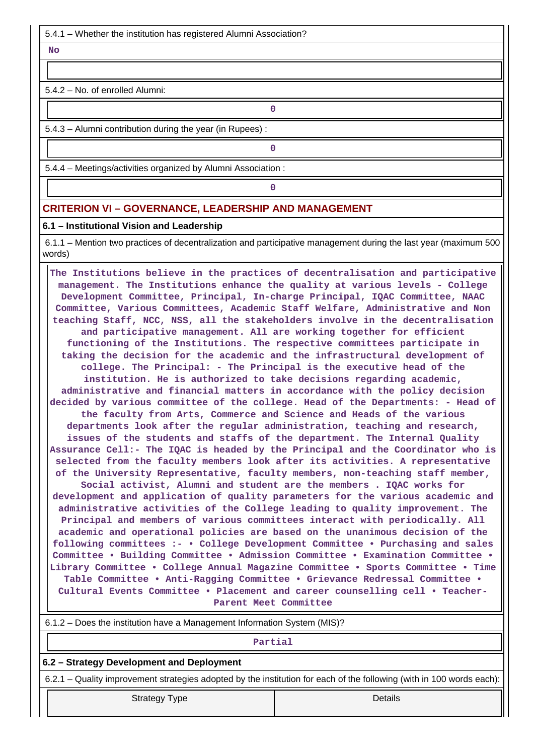5.4.1 – Whether the institution has registered Alumni Association?

 **No**

5.4.2 – No. of enrolled Alumni:

5.4.3 – Alumni contribution during the year (in Rupees) :

**0**

**0**

**0**

5.4.4 – Meetings/activities organized by Alumni Association :

## **CRITERION VI – GOVERNANCE, LEADERSHIP AND MANAGEMENT**

#### **6.1 – Institutional Vision and Leadership**

 6.1.1 – Mention two practices of decentralization and participative management during the last year (maximum 500 words)

 **The Institutions believe in the practices of decentralisation and participative management. The Institutions enhance the quality at various levels - College Development Committee, Principal, In-charge Principal, IQAC Committee, NAAC Committee, Various Committees, Academic Staff Welfare, Administrative and Non teaching Staff, NCC, NSS, all the stakeholders involve in the decentralisation and participative management. All are working together for efficient functioning of the Institutions. The respective committees participate in taking the decision for the academic and the infrastructural development of college. The Principal: - The Principal is the executive head of the institution. He is authorized to take decisions regarding academic, administrative and financial matters in accordance with the policy decision decided by various committee of the college. Head of the Departments: - Head of the faculty from Arts, Commerce and Science and Heads of the various departments look after the regular administration, teaching and research, issues of the students and staffs of the department. The Internal Quality Assurance Cell:- The IQAC is headed by the Principal and the Coordinator who is selected from the faculty members look after its activities. A representative of the University Representative, faculty members, non-teaching staff member, Social activist, Alumni and student are the members . IQAC works for development and application of quality parameters for the various academic and administrative activities of the College leading to quality improvement. The Principal and members of various committees interact with periodically. All academic and operational policies are based on the unanimous decision of the following committees :- • College Development Committee • Purchasing and sales Committee • Building Committee • Admission Committee • Examination Committee • Library Committee • College Annual Magazine Committee • Sports Committee • Time Table Committee • Anti-Ragging Committee • Grievance Redressal Committee • Cultural Events Committee • Placement and career counselling cell • Teacher-Parent Meet Committee**

| 6.1.2 – Does the institution have a Management Information System (MIS)?                                              |  |  |  |  |  |  |  |
|-----------------------------------------------------------------------------------------------------------------------|--|--|--|--|--|--|--|
| Partial                                                                                                               |  |  |  |  |  |  |  |
| 6.2 – Strategy Development and Deployment                                                                             |  |  |  |  |  |  |  |
| 6.2.1 – Quality improvement strategies adopted by the institution for each of the following (with in 100 words each): |  |  |  |  |  |  |  |
| Details<br>Strategy Type                                                                                              |  |  |  |  |  |  |  |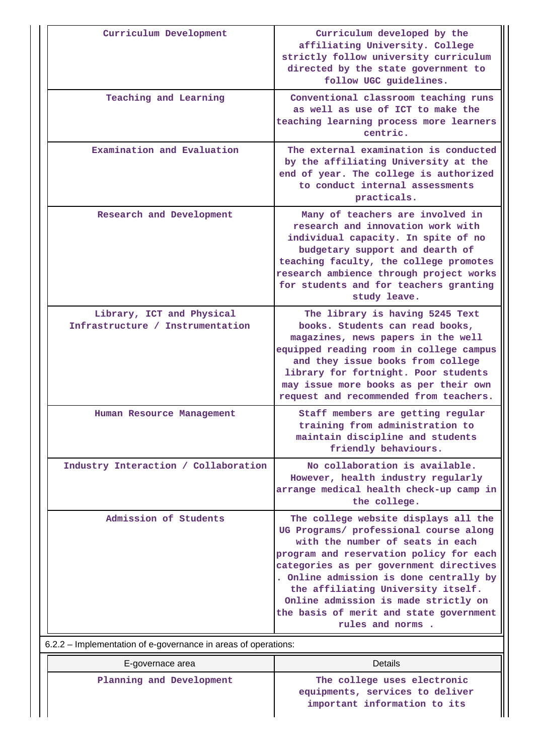| Curriculum Development                                         | Curriculum developed by the<br>affiliating University. College<br>strictly follow university curriculum<br>directed by the state government to<br>follow UGC guidelines.                                                                                                                                                                                                                         |
|----------------------------------------------------------------|--------------------------------------------------------------------------------------------------------------------------------------------------------------------------------------------------------------------------------------------------------------------------------------------------------------------------------------------------------------------------------------------------|
| Teaching and Learning                                          | Conventional classroom teaching runs<br>as well as use of ICT to make the<br>teaching learning process more learners<br>centric.                                                                                                                                                                                                                                                                 |
| Examination and Evaluation                                     | The external examination is conducted<br>by the affiliating University at the<br>end of year. The college is authorized<br>to conduct internal assessments<br>practicals.                                                                                                                                                                                                                        |
| Research and Development                                       | Many of teachers are involved in<br>research and innovation work with<br>individual capacity. In spite of no<br>budgetary support and dearth of<br>teaching faculty, the college promotes<br>research ambience through project works<br>for students and for teachers granting<br>study leave.                                                                                                   |
| Library, ICT and Physical<br>Infrastructure / Instrumentation  | The library is having 5245 Text<br>books. Students can read books,<br>magazines, news papers in the well<br>equipped reading room in college campus<br>and they issue books from college<br>library for fortnight. Poor students<br>may issue more books as per their own<br>request and recommended from teachers.                                                                              |
| Human Resource Management                                      | Staff members are getting regular<br>training from administration to<br>maintain discipline and students<br>friendly behaviours.                                                                                                                                                                                                                                                                 |
| Industry Interaction / Collaboration                           | No collaboration is available.<br>However, health industry regularly<br>arrange medical health check-up camp in<br>the college.                                                                                                                                                                                                                                                                  |
| Admission of Students                                          | The college website displays all the<br>UG Programs/ professional course along<br>with the number of seats in each<br>program and reservation policy for each<br>categories as per government directives<br>. Online admission is done centrally by<br>the affiliating University itself.<br>Online admission is made strictly on<br>the basis of merit and state government<br>rules and norms. |
| 6.2.2 – Implementation of e-governance in areas of operations: |                                                                                                                                                                                                                                                                                                                                                                                                  |
| E-governace area                                               | Details                                                                                                                                                                                                                                                                                                                                                                                          |
| Planning and Development                                       | The college uses electronic<br>equipments, services to deliver                                                                                                                                                                                                                                                                                                                                   |

**important information to its**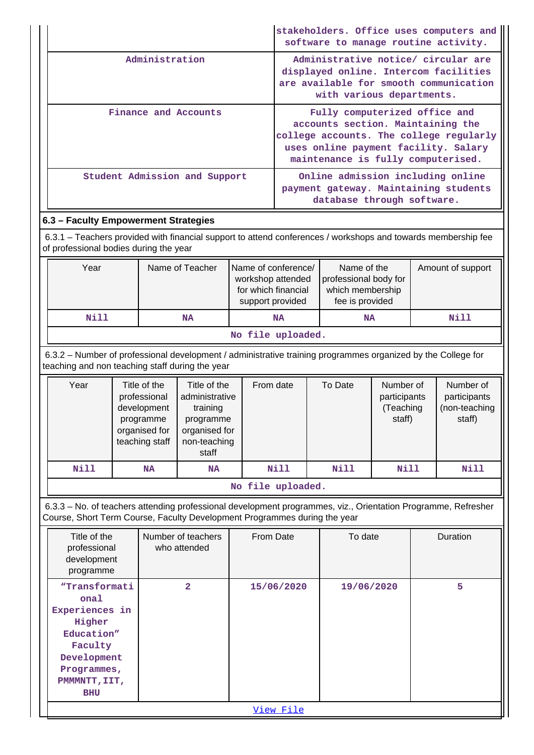|                               | stakeholders. Office uses computers and<br>software to manage routine activity.                                                                                                             |
|-------------------------------|---------------------------------------------------------------------------------------------------------------------------------------------------------------------------------------------|
| Administration                | Administrative notice/ circular are<br>displayed online. Intercom facilities<br>are available for smooth communication<br>with various departments.                                         |
| Finance and Accounts          | Fully computerized office and<br>accounts section. Maintaining the<br>college accounts. The college regularly<br>uses online payment facility. Salary<br>maintenance is fully computerised. |
| Student Admission and Support | Online admission including online<br>payment gateway. Maintaining students<br>database through software.                                                                                    |

# **6.3 – Faculty Empowerment Strategies**

 6.3.1 – Teachers provided with financial support to attend conferences / workshops and towards membership fee of professional bodies during the year

| Year              | Name of Teacher | Name of conference/<br>workshop attended<br>for which financial<br>support provided | Name of the<br>professional body for<br>which membership<br>fee is provided | Amount of support |  |  |  |  |  |
|-------------------|-----------------|-------------------------------------------------------------------------------------|-----------------------------------------------------------------------------|-------------------|--|--|--|--|--|
| Nill              | <b>NA</b>       | <b>NA</b>                                                                           | <b>NA</b>                                                                   | Nill              |  |  |  |  |  |
| No file uploaded. |                 |                                                                                     |                                                                             |                   |  |  |  |  |  |

 6.3.2 – Number of professional development / administrative training programmes organized by the College for teaching and non teaching staff during the year

| Year | Title of the<br>professional<br>development<br>programme<br>organised for<br>teaching staff | Title of the<br>administrative<br>training<br>programme<br>organised for<br>non-teaching<br>staff | From date                 | To Date | Number of<br>participants<br>(Teaching<br>staff) | Number of<br>participants<br>(non-teaching<br>staff) |
|------|---------------------------------------------------------------------------------------------|---------------------------------------------------------------------------------------------------|---------------------------|---------|--------------------------------------------------|------------------------------------------------------|
| Nill | <b>NA</b>                                                                                   | <b>NA</b>                                                                                         | Nill                      | Nill    | <b>Nill</b>                                      | Nill                                                 |
|      |                                                                                             |                                                                                                   | メディー・バス スーパー・エー スーパー・スーパー |         |                                                  |                                                      |

### **No file uploaded.**

 6.3.3 – No. of teachers attending professional development programmes, viz., Orientation Programme, Refresher Course, Short Term Course, Faculty Development Programmes during the year

| Title of the<br>professional<br>development<br>programme                                                                               | Number of teachers<br>who attended | From Date  | To date    | Duration |  |  |  |
|----------------------------------------------------------------------------------------------------------------------------------------|------------------------------------|------------|------------|----------|--|--|--|
| "Transformati<br>onal<br>Experiences in<br>Higher<br>Education"<br>Faculty<br>Development<br>Programmes,<br>PMMMTT, IIT,<br><b>BHU</b> | $\overline{a}$                     | 15/06/2020 | 19/06/2020 | 5        |  |  |  |
| View File                                                                                                                              |                                    |            |            |          |  |  |  |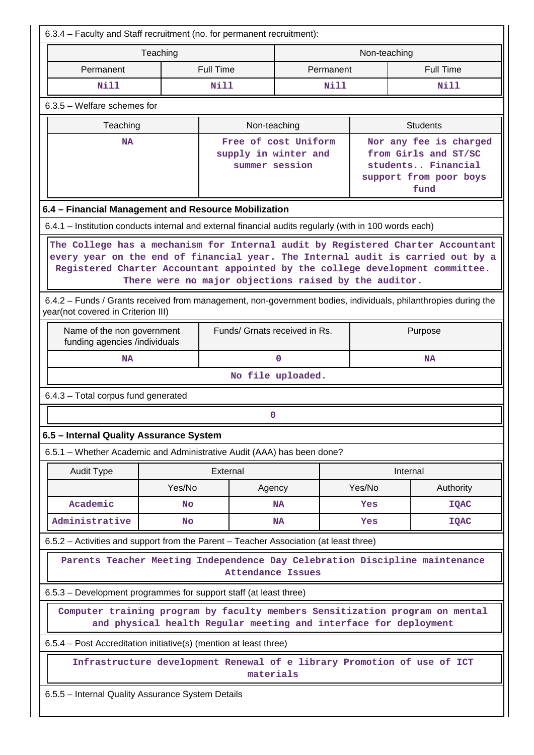| 6.3.4 – Faculty and Staff recruitment (no. for permanent recruitment):                                                                                                                                                                                                                                                                                                                                                                                               |                                                                |           |        |                                                                                                        |  |  |  |  |
|----------------------------------------------------------------------------------------------------------------------------------------------------------------------------------------------------------------------------------------------------------------------------------------------------------------------------------------------------------------------------------------------------------------------------------------------------------------------|----------------------------------------------------------------|-----------|--------|--------------------------------------------------------------------------------------------------------|--|--|--|--|
| Teaching                                                                                                                                                                                                                                                                                                                                                                                                                                                             | Non-teaching                                                   |           |        |                                                                                                        |  |  |  |  |
| Permanent                                                                                                                                                                                                                                                                                                                                                                                                                                                            | <b>Full Time</b>                                               | Permanent |        | <b>Full Time</b>                                                                                       |  |  |  |  |
| <b>Nill</b>                                                                                                                                                                                                                                                                                                                                                                                                                                                          | Nill                                                           | Nill      |        | <b>Nill</b>                                                                                            |  |  |  |  |
| $6.3.5$ – Welfare schemes for                                                                                                                                                                                                                                                                                                                                                                                                                                        |                                                                |           |        |                                                                                                        |  |  |  |  |
| Teaching                                                                                                                                                                                                                                                                                                                                                                                                                                                             | Non-teaching                                                   |           |        | <b>Students</b>                                                                                        |  |  |  |  |
| <b>NA</b>                                                                                                                                                                                                                                                                                                                                                                                                                                                            | Free of cost Uniform<br>supply in winter and<br>summer session |           |        | Nor any fee is charged<br>from Girls and ST/SC<br>students Financial<br>support from poor boys<br>fund |  |  |  |  |
| 6.4 - Financial Management and Resource Mobilization                                                                                                                                                                                                                                                                                                                                                                                                                 |                                                                |           |        |                                                                                                        |  |  |  |  |
| 6.4.1 – Institution conducts internal and external financial audits regularly (with in 100 words each)                                                                                                                                                                                                                                                                                                                                                               |                                                                |           |        |                                                                                                        |  |  |  |  |
| The College has a mechanism for Internal audit by Registered Charter Accountant<br>every year on the end of financial year. The Internal audit is carried out by a<br>Registered Charter Accountant appointed by the college development committee.<br>There were no major objections raised by the auditor.<br>6.4.2 – Funds / Grants received from management, non-government bodies, individuals, philanthropies during the<br>year(not covered in Criterion III) |                                                                |           |        |                                                                                                        |  |  |  |  |
| Name of the non government<br>funding agencies /individuals                                                                                                                                                                                                                                                                                                                                                                                                          | Funds/ Grnats received in Rs.                                  |           |        | Purpose                                                                                                |  |  |  |  |
| <b>NA</b>                                                                                                                                                                                                                                                                                                                                                                                                                                                            | $\mathbf 0$                                                    |           |        | <b>NA</b>                                                                                              |  |  |  |  |
| No file uploaded.                                                                                                                                                                                                                                                                                                                                                                                                                                                    |                                                                |           |        |                                                                                                        |  |  |  |  |
| 6.4.3 - Total corpus fund generated                                                                                                                                                                                                                                                                                                                                                                                                                                  |                                                                |           |        |                                                                                                        |  |  |  |  |
|                                                                                                                                                                                                                                                                                                                                                                                                                                                                      | 0                                                              |           |        |                                                                                                        |  |  |  |  |
| 6.5 - Internal Quality Assurance System                                                                                                                                                                                                                                                                                                                                                                                                                              |                                                                |           |        |                                                                                                        |  |  |  |  |
| 6.5.1 - Whether Academic and Administrative Audit (AAA) has been done?                                                                                                                                                                                                                                                                                                                                                                                               |                                                                |           |        |                                                                                                        |  |  |  |  |
| <b>Audit Type</b>                                                                                                                                                                                                                                                                                                                                                                                                                                                    | External                                                       |           |        | Internal                                                                                               |  |  |  |  |
| Yes/No                                                                                                                                                                                                                                                                                                                                                                                                                                                               | Agency                                                         |           | Yes/No | Authority                                                                                              |  |  |  |  |
| Academic<br><b>No</b>                                                                                                                                                                                                                                                                                                                                                                                                                                                |                                                                | <b>NA</b> | Yes    | <b>IQAC</b>                                                                                            |  |  |  |  |
| Administrative<br><b>No</b>                                                                                                                                                                                                                                                                                                                                                                                                                                          | <b>NA</b><br><b>IQAC</b><br>Yes                                |           |        |                                                                                                        |  |  |  |  |
| 6.5.2 – Activities and support from the Parent – Teacher Association (at least three)                                                                                                                                                                                                                                                                                                                                                                                |                                                                |           |        |                                                                                                        |  |  |  |  |
| Parents Teacher Meeting Independence Day Celebration Discipline maintenance<br><b>Attendance Issues</b>                                                                                                                                                                                                                                                                                                                                                              |                                                                |           |        |                                                                                                        |  |  |  |  |
| 6.5.3 - Development programmes for support staff (at least three)                                                                                                                                                                                                                                                                                                                                                                                                    |                                                                |           |        |                                                                                                        |  |  |  |  |
| Computer training program by faculty members Sensitization program on mental<br>and physical health Regular meeting and interface for deployment                                                                                                                                                                                                                                                                                                                     |                                                                |           |        |                                                                                                        |  |  |  |  |
| 6.5.4 – Post Accreditation initiative(s) (mention at least three)                                                                                                                                                                                                                                                                                                                                                                                                    |                                                                |           |        |                                                                                                        |  |  |  |  |
| Infrastructure development Renewal of e library Promotion of use of ICT<br>materials                                                                                                                                                                                                                                                                                                                                                                                 |                                                                |           |        |                                                                                                        |  |  |  |  |
| 6.5.5 - Internal Quality Assurance System Details                                                                                                                                                                                                                                                                                                                                                                                                                    |                                                                |           |        |                                                                                                        |  |  |  |  |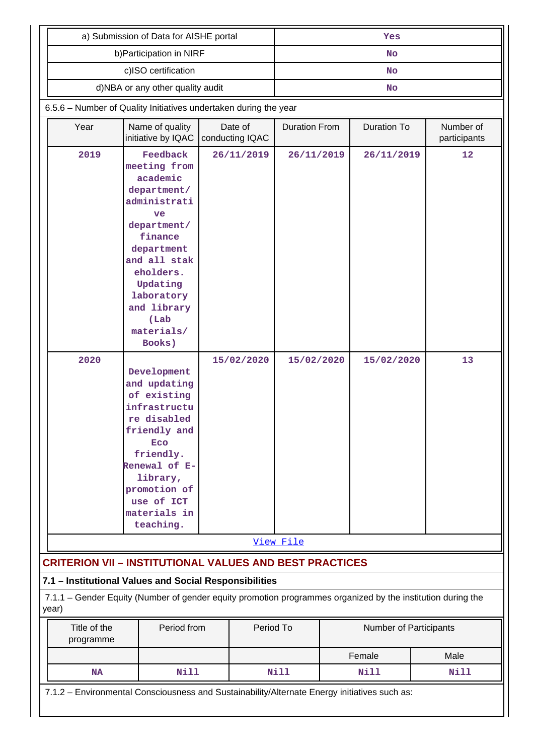| a) Submission of Data for AISHE portal                                                                               |                                                                                                                                                                                                                         |                            | Yes                                        |  |                           |      |  |
|----------------------------------------------------------------------------------------------------------------------|-------------------------------------------------------------------------------------------------------------------------------------------------------------------------------------------------------------------------|----------------------------|--------------------------------------------|--|---------------------------|------|--|
| b) Participation in NIRF                                                                                             |                                                                                                                                                                                                                         |                            | <b>No</b>                                  |  |                           |      |  |
|                                                                                                                      | <b>No</b>                                                                                                                                                                                                               |                            |                                            |  |                           |      |  |
| d)NBA or any other quality audit                                                                                     | <b>No</b>                                                                                                                                                                                                               |                            |                                            |  |                           |      |  |
| 6.5.6 - Number of Quality Initiatives undertaken during the year                                                     |                                                                                                                                                                                                                         |                            |                                            |  |                           |      |  |
| Year                                                                                                                 | Name of quality<br>initiative by IQAC                                                                                                                                                                                   | Date of<br>conducting IQAC | <b>Duration From</b><br><b>Duration To</b> |  | Number of<br>participants |      |  |
| 2019                                                                                                                 | Feedback<br>meeting from<br>academic<br>department/<br>administrati<br>ve<br>department/<br>finance<br>department<br>and all stak<br>eholders.<br>Updating<br>laboratory<br>and library<br>(Lab<br>materials/<br>Books) | 26/11/2019                 | 26/11/2019                                 |  | 26/11/2019                | 12   |  |
| 2020                                                                                                                 | Development<br>and updating<br>of existing<br>infrastructu<br>re disabled<br>friendly and<br>Eco<br>friendly.<br>Renewal of E-<br>library,<br>promotion of<br>use of ICT<br>materials in<br>teaching.                   | 15/02/2020                 | 15/02/2020                                 |  | 15/02/2020                | 13   |  |
|                                                                                                                      |                                                                                                                                                                                                                         |                            | View File                                  |  |                           |      |  |
| <b>CRITERION VII - INSTITUTIONAL VALUES AND BEST PRACTICES</b>                                                       |                                                                                                                                                                                                                         |                            |                                            |  |                           |      |  |
| 7.1 - Institutional Values and Social Responsibilities                                                               |                                                                                                                                                                                                                         |                            |                                            |  |                           |      |  |
| 7.1.1 - Gender Equity (Number of gender equity promotion programmes organized by the institution during the<br>year) |                                                                                                                                                                                                                         |                            |                                            |  |                           |      |  |
| Title of the<br>programme                                                                                            | Period from                                                                                                                                                                                                             |                            | Period To                                  |  | Number of Participants    |      |  |
|                                                                                                                      |                                                                                                                                                                                                                         |                            |                                            |  | Female                    | Male |  |
| <b>NA</b>                                                                                                            | <b>Nill</b>                                                                                                                                                                                                             |                            | <b>Nill</b>                                |  | Nill                      | Nill |  |
| 7.1.2 - Environmental Consciousness and Sustainability/Alternate Energy initiatives such as:                         |                                                                                                                                                                                                                         |                            |                                            |  |                           |      |  |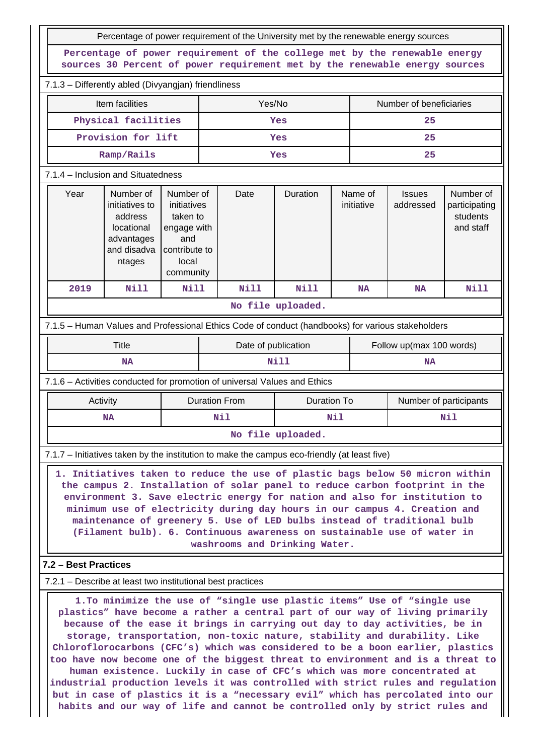| Percentage of power requirement of the University met by the renewable energy sources                                                                                                                                                                                                                                                                                                                                                                                                                                                                                                                                                                                                                                                                                                                                    |                                                                                             |                                                                                                   |                     |             |                          |    |                               |                            |                                                     |
|--------------------------------------------------------------------------------------------------------------------------------------------------------------------------------------------------------------------------------------------------------------------------------------------------------------------------------------------------------------------------------------------------------------------------------------------------------------------------------------------------------------------------------------------------------------------------------------------------------------------------------------------------------------------------------------------------------------------------------------------------------------------------------------------------------------------------|---------------------------------------------------------------------------------------------|---------------------------------------------------------------------------------------------------|---------------------|-------------|--------------------------|----|-------------------------------|----------------------------|-----------------------------------------------------|
|                                                                                                                                                                                                                                                                                                                                                                                                                                                                                                                                                                                                                                                                                                                                                                                                                          | Percentage of power requirement of the college met by the renewable energy                  |                                                                                                   |                     |             |                          |    |                               |                            |                                                     |
| sources 30 Percent of power requirement met by the renewable energy sources                                                                                                                                                                                                                                                                                                                                                                                                                                                                                                                                                                                                                                                                                                                                              |                                                                                             |                                                                                                   |                     |             |                          |    |                               |                            |                                                     |
| 7.1.3 - Differently abled (Divyangjan) friendliness                                                                                                                                                                                                                                                                                                                                                                                                                                                                                                                                                                                                                                                                                                                                                                      |                                                                                             |                                                                                                   |                     | Yes/No      |                          |    |                               |                            |                                                     |
| Item facilities<br>Physical facilities                                                                                                                                                                                                                                                                                                                                                                                                                                                                                                                                                                                                                                                                                                                                                                                   |                                                                                             |                                                                                                   |                     |             | Yes                      |    | Number of beneficiaries<br>25 |                            |                                                     |
| Provision for lift                                                                                                                                                                                                                                                                                                                                                                                                                                                                                                                                                                                                                                                                                                                                                                                                       |                                                                                             |                                                                                                   | Yes                 |             |                          | 25 |                               |                            |                                                     |
| Ramp/Rails                                                                                                                                                                                                                                                                                                                                                                                                                                                                                                                                                                                                                                                                                                                                                                                                               |                                                                                             |                                                                                                   | Yes                 |             |                          | 25 |                               |                            |                                                     |
| 7.1.4 - Inclusion and Situatedness                                                                                                                                                                                                                                                                                                                                                                                                                                                                                                                                                                                                                                                                                                                                                                                       |                                                                                             |                                                                                                   |                     |             |                          |    |                               |                            |                                                     |
| Year                                                                                                                                                                                                                                                                                                                                                                                                                                                                                                                                                                                                                                                                                                                                                                                                                     | Number of<br>initiatives to<br>address<br>locational<br>advantages<br>and disadva<br>ntages | Number of<br>initiatives<br>taken to<br>engage with<br>and<br>contribute to<br>local<br>community |                     | Date        | Duration                 |    | Name of<br>initiative         | <b>Issues</b><br>addressed | Number of<br>participating<br>students<br>and staff |
| 2019                                                                                                                                                                                                                                                                                                                                                                                                                                                                                                                                                                                                                                                                                                                                                                                                                     | <b>Nill</b>                                                                                 | <b>Nill</b>                                                                                       |                     | <b>Nill</b> | Nill                     |    | <b>NA</b>                     | <b>NA</b>                  | <b>Nill</b>                                         |
| No file uploaded.                                                                                                                                                                                                                                                                                                                                                                                                                                                                                                                                                                                                                                                                                                                                                                                                        |                                                                                             |                                                                                                   |                     |             |                          |    |                               |                            |                                                     |
| 7.1.5 - Human Values and Professional Ethics Code of conduct (handbooks) for various stakeholders                                                                                                                                                                                                                                                                                                                                                                                                                                                                                                                                                                                                                                                                                                                        |                                                                                             |                                                                                                   |                     |             |                          |    |                               |                            |                                                     |
|                                                                                                                                                                                                                                                                                                                                                                                                                                                                                                                                                                                                                                                                                                                                                                                                                          | <b>Title</b>                                                                                |                                                                                                   | Date of publication |             | Follow up(max 100 words) |    |                               |                            |                                                     |
| <b>NA</b>                                                                                                                                                                                                                                                                                                                                                                                                                                                                                                                                                                                                                                                                                                                                                                                                                |                                                                                             | Nill                                                                                              |                     |             | <b>NA</b>                |    |                               |                            |                                                     |
| 7.1.6 - Activities conducted for promotion of universal Values and Ethics                                                                                                                                                                                                                                                                                                                                                                                                                                                                                                                                                                                                                                                                                                                                                |                                                                                             |                                                                                                   |                     |             |                          |    |                               |                            |                                                     |
| <b>Duration From</b><br>Number of participants<br>Activity<br>Duration To                                                                                                                                                                                                                                                                                                                                                                                                                                                                                                                                                                                                                                                                                                                                                |                                                                                             |                                                                                                   |                     |             |                          |    |                               |                            |                                                     |
| NA                                                                                                                                                                                                                                                                                                                                                                                                                                                                                                                                                                                                                                                                                                                                                                                                                       |                                                                                             | Nil<br>Nil                                                                                        |                     |             | Nil                      |    |                               |                            |                                                     |
| No file uploaded.                                                                                                                                                                                                                                                                                                                                                                                                                                                                                                                                                                                                                                                                                                                                                                                                        |                                                                                             |                                                                                                   |                     |             |                          |    |                               |                            |                                                     |
| 7.1.7 – Initiatives taken by the institution to make the campus eco-friendly (at least five)<br>1. Initiatives taken to reduce the use of plastic bags below 50 micron within<br>the campus 2. Installation of solar panel to reduce carbon footprint in the<br>environment 3. Save electric energy for nation and also for institution to<br>minimum use of electricity during day hours in our campus 4. Creation and<br>maintenance of greenery 5. Use of LED bulbs instead of traditional bulb<br>(Filament bulb). 6. Continuous awareness on sustainable use of water in<br>washrooms and Drinking Water.                                                                                                                                                                                                           |                                                                                             |                                                                                                   |                     |             |                          |    |                               |                            |                                                     |
| 7.2 - Best Practices                                                                                                                                                                                                                                                                                                                                                                                                                                                                                                                                                                                                                                                                                                                                                                                                     |                                                                                             |                                                                                                   |                     |             |                          |    |                               |                            |                                                     |
| 7.2.1 – Describe at least two institutional best practices                                                                                                                                                                                                                                                                                                                                                                                                                                                                                                                                                                                                                                                                                                                                                               |                                                                                             |                                                                                                   |                     |             |                          |    |                               |                            |                                                     |
| 1. To minimize the use of "single use plastic items" Use of "single use<br>plastics" have become a rather a central part of our way of living primarily<br>because of the ease it brings in carrying out day to day activities, be in<br>storage, transportation, non-toxic nature, stability and durability. Like<br>Chloroflorocarbons (CFC's) which was considered to be a boon earlier, plastics<br>too have now become one of the biggest threat to environment and is a threat to<br>human existence. Luckily in case of CFC's which was more concentrated at<br>industrial production levels it was controlled with strict rules and regulation<br>but in case of plastics it is a "necessary evil" which has percolated into our<br>habits and our way of life and cannot be controlled only by strict rules and |                                                                                             |                                                                                                   |                     |             |                          |    |                               |                            |                                                     |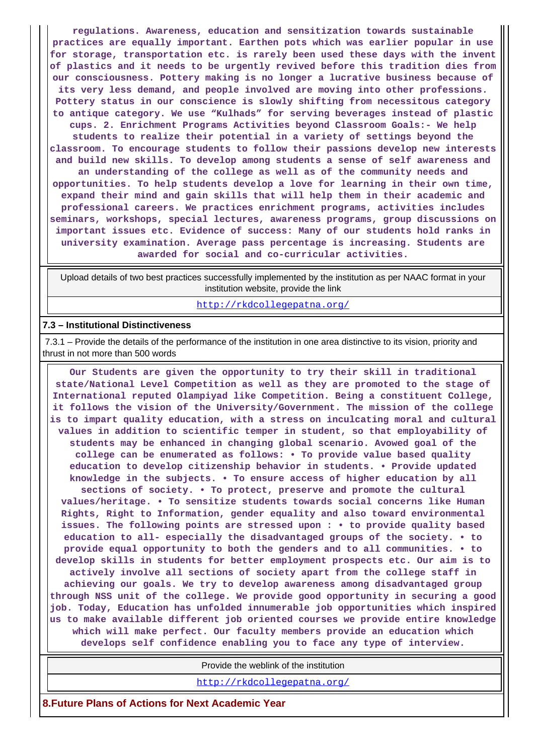**regulations. Awareness, education and sensitization towards sustainable practices are equally important. Earthen pots which was earlier popular in use for storage, transportation etc. is rarely been used these days with the invent of plastics and it needs to be urgently revived before this tradition dies from our consciousness. Pottery making is no longer a lucrative business because of its very less demand, and people involved are moving into other professions. Pottery status in our conscience is slowly shifting from necessitous category to antique category. We use "Kulhads" for serving beverages instead of plastic cups. 2. Enrichment Programs Activities beyond Classroom Goals:- We help students to realize their potential in a variety of settings beyond the classroom. To encourage students to follow their passions develop new interests and build new skills. To develop among students a sense of self awareness and an understanding of the college as well as of the community needs and opportunities. To help students develop a love for learning in their own time, expand their mind and gain skills that will help them in their academic and professional careers. We practices enrichment programs, activities includes seminars, workshops, special lectures, awareness programs, group discussions on important issues etc. Evidence of success: Many of our students hold ranks in university examination. Average pass percentage is increasing. Students are awarded for social and co-curricular activities.**

 Upload details of two best practices successfully implemented by the institution as per NAAC format in your institution website, provide the link

<http://rkdcollegepatna.org/>

#### **7.3 – Institutional Distinctiveness**

 7.3.1 – Provide the details of the performance of the institution in one area distinctive to its vision, priority and thrust in not more than 500 words

 **Our Students are given the opportunity to try their skill in traditional state/National Level Competition as well as they are promoted to the stage of International reputed Olampiyad like Competition. Being a constituent College, it follows the vision of the University/Government. The mission of the college is to impart quality education, with a stress on inculcating moral and cultural values in addition to scientific temper in student, so that employability of students may be enhanced in changing global scenario. Avowed goal of the college can be enumerated as follows: • To provide value based quality education to develop citizenship behavior in students. • Provide updated knowledge in the subjects. • To ensure access of higher education by all sections of society. • To protect, preserve and promote the cultural values/heritage. • To sensitize students towards social concerns like Human Rights, Right to Information, gender equality and also toward environmental issues. The following points are stressed upon : • to provide quality based education to all- especially the disadvantaged groups of the society. • to provide equal opportunity to both the genders and to all communities. • to develop skills in students for better employment prospects etc. Our aim is to actively involve all sections of society apart from the college staff in achieving our goals. We try to develop awareness among disadvantaged group through NSS unit of the college. We provide good opportunity in securing a good job. Today, Education has unfolded innumerable job opportunities which inspired us to make available different job oriented courses we provide entire knowledge which will make perfect. Our faculty members provide an education which develops self confidence enabling you to face any type of interview.**

Provide the weblink of the institution

<http://rkdcollegepatna.org/>

**8.Future Plans of Actions for Next Academic Year**